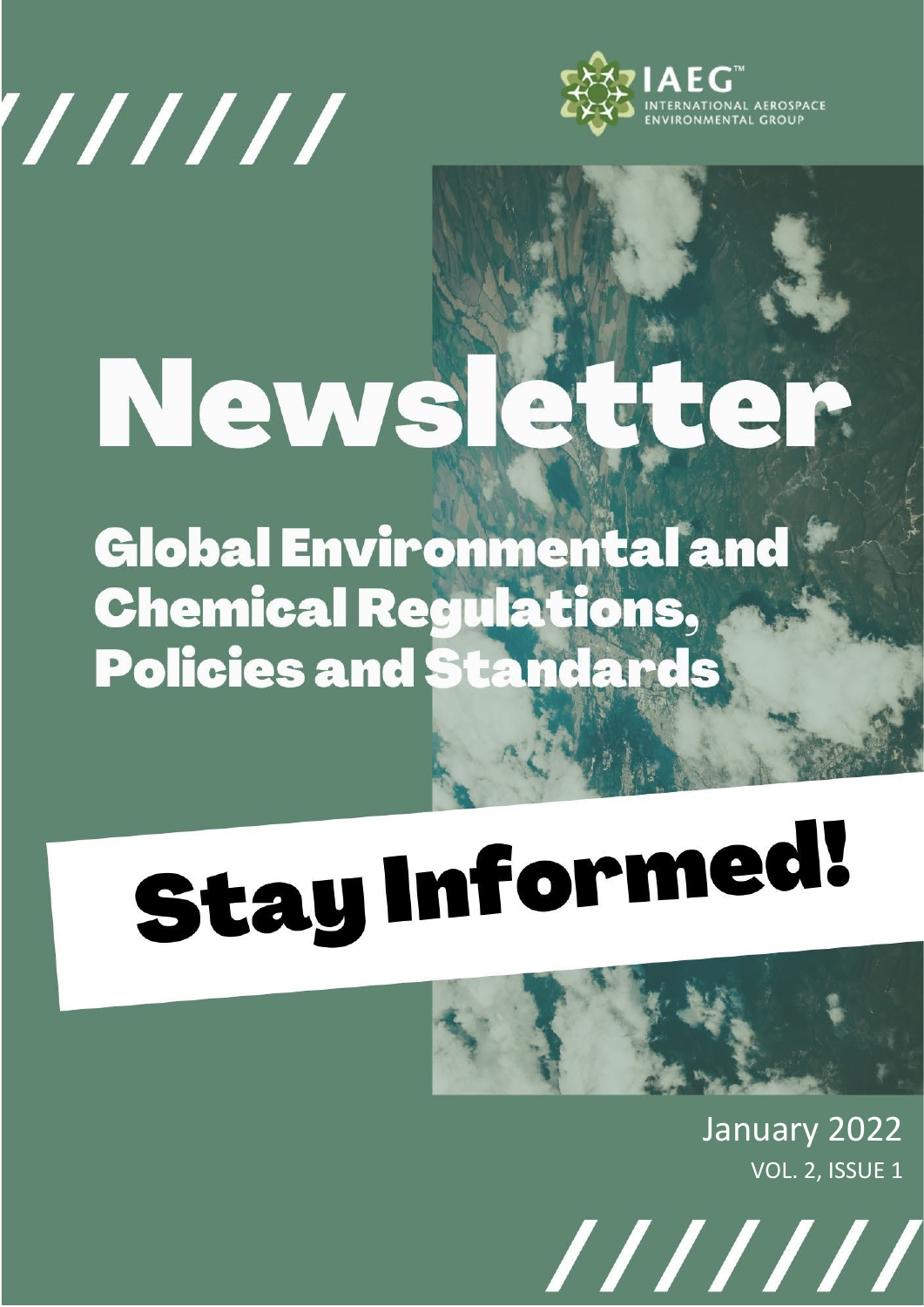



## News  $\triangle$

**Global Environmental and Chemical Regulations, Policies and Standards** 

# **Stay Informed!**

January 2022 VOL. 2, ISSUE 1

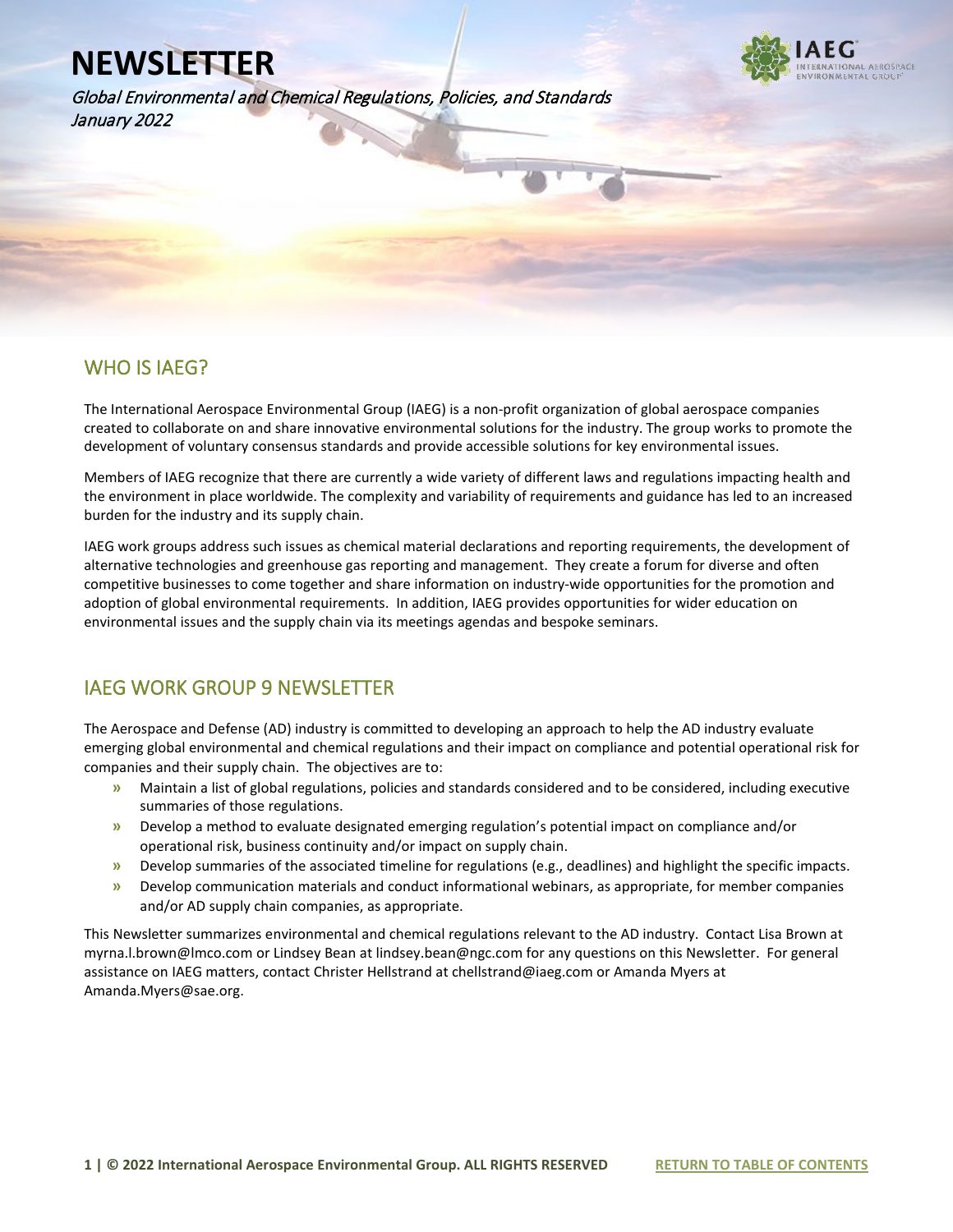Global Environmental and Chemical Regulations, Policies, and Standards January 2022



#### WHO IS IAEG?

l

The International Aerospace Environmental Group (IAEG) is a non-profit organization of global aerospace companies created to collaborate on and share innovative environmental solutions for the industry. The group works to promote the development of voluntary consensus standards and provide accessible solutions for key environmental issues.

Members of IAEG recognize that there are currently a wide variety of different laws and regulations impacting health and the environment in place worldwide. The complexity and variability of requirements and guidance has led to an increased burden for the industry and its supply chain.

IAEG work groups address such issues as chemical material declarations and reporting requirements, the development of alternative technologies and greenhouse gas reporting and management. They create a forum for diverse and often competitive businesses to come together and share information on industry-wide opportunities for the promotion and adoption of global environmental requirements. In addition, IAEG provides opportunities for wider education on environmental issues and the supply chain via its meetings agendas and bespoke seminars.

#### IAEG WORK GROUP 9 NEWSLETTER

The Aerospace and Defense (AD) industry is committed to developing an approach to help the AD industry evaluate emerging global environmental and chemical regulations and their impact on compliance and potential operational risk for companies and their supply chain. The objectives are to:

- **»** Maintain a list of global regulations, policies and standards considered and to be considered, including executive summaries of those regulations.
- **»** Develop a method to evaluate designated emerging regulation's potential impact on compliance and/or operational risk, business continuity and/or impact on supply chain.
- **»** Develop summaries of the associated timeline for regulations (e.g., deadlines) and highlight the specific impacts.
- **»** Develop communication materials and conduct informational webinars, as appropriate, for member companies and/or AD supply chain companies, as appropriate.

This Newsletter summarizes environmental and chemical regulations relevant to the AD industry. Contact Lisa Brown at myrna.l.brown@lmco.com or Lindsey Bean at lindsey.bean@ngc.com for any questions on this Newsletter. For general assistance on IAEG matters, contact Christer Hellstrand at chellstrand@iaeg.com or Amanda Myers at Amanda.Myers@sae.org.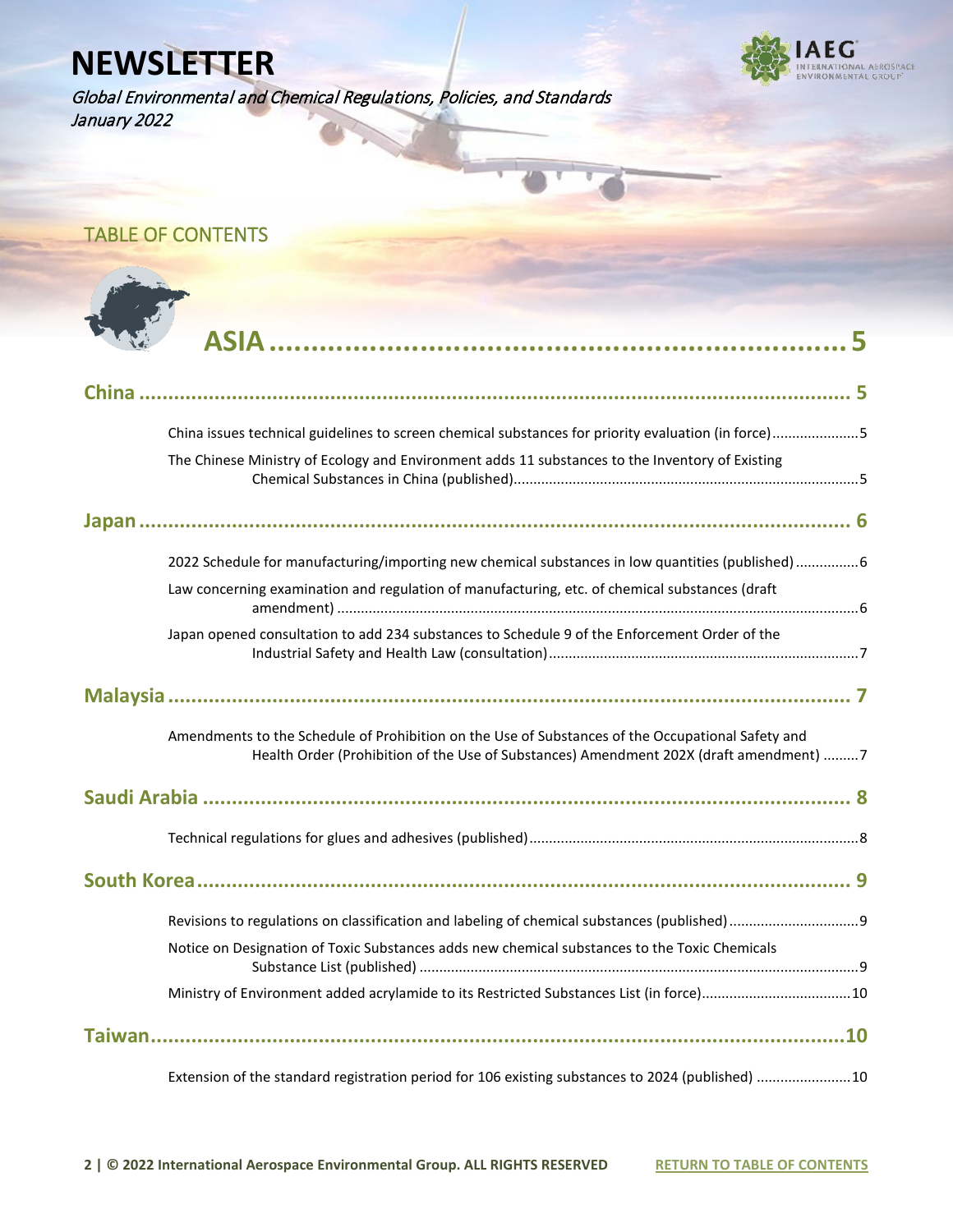Global Environmental and Chemical Regulations, Policies, and Standards January 2022



<span id="page-2-0"></span>TABLE OF CONTENTS



| China issues technical guidelines to screen chemical substances for priority evaluation (in force)5 |
|-----------------------------------------------------------------------------------------------------|
| The Chinese Ministry of Ecology and Environment adds 11 substances to the Inventory of Existing     |
|                                                                                                     |
|                                                                                                     |
|                                                                                                     |
| 2022 Schedule for manufacturing/importing new chemical substances in low quantities (published) 6   |
| Law concerning examination and regulation of manufacturing, etc. of chemical substances (draft      |
|                                                                                                     |
| Japan opened consultation to add 234 substances to Schedule 9 of the Enforcement Order of the       |
|                                                                                                     |
|                                                                                                     |
|                                                                                                     |
| Amendments to the Schedule of Prohibition on the Use of Substances of the Occupational Safety and   |
| Health Order (Prohibition of the Use of Substances) Amendment 202X (draft amendment) 7              |
|                                                                                                     |
|                                                                                                     |
|                                                                                                     |
|                                                                                                     |
|                                                                                                     |
|                                                                                                     |
| Notice on Designation of Toxic Substances adds new chemical substances to the Toxic Chemicals       |
|                                                                                                     |
|                                                                                                     |
|                                                                                                     |
|                                                                                                     |
| Extension of the standard registration period for 106 existing substances to 2024 (published) 10    |
|                                                                                                     |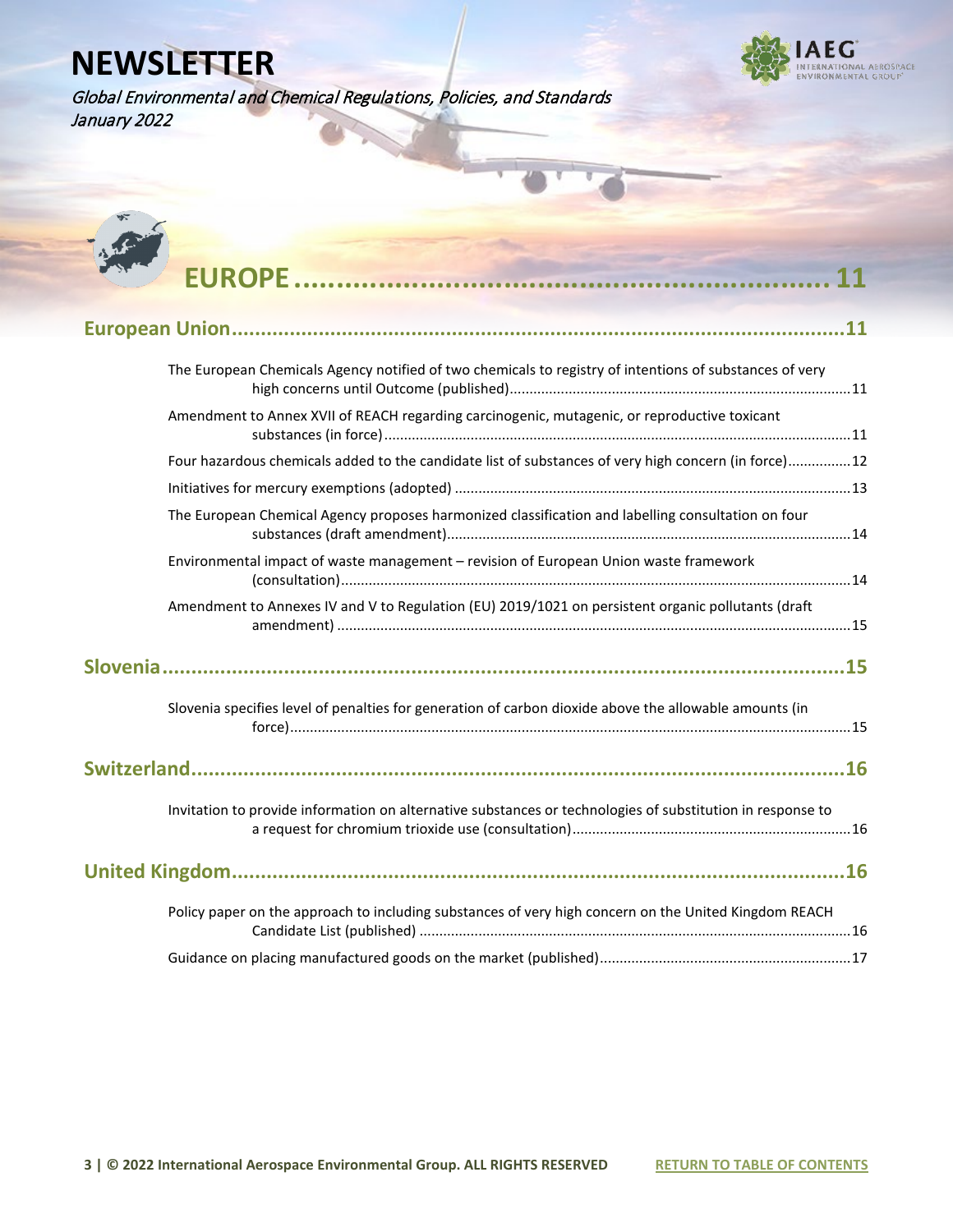Global Environmental and Chemical Regulations, Policies, and Standards January 2022





| The European Chemicals Agency notified of two chemicals to registry of intentions of substances of very    |  |
|------------------------------------------------------------------------------------------------------------|--|
| Amendment to Annex XVII of REACH regarding carcinogenic, mutagenic, or reproductive toxicant               |  |
| Four hazardous chemicals added to the candidate list of substances of very high concern (in force)12       |  |
|                                                                                                            |  |
| The European Chemical Agency proposes harmonized classification and labelling consultation on four         |  |
| Environmental impact of waste management - revision of European Union waste framework                      |  |
| Amendment to Annexes IV and V to Regulation (EU) 2019/1021 on persistent organic pollutants (draft         |  |
|                                                                                                            |  |
| Slovenia specifies level of penalties for generation of carbon dioxide above the allowable amounts (in     |  |
|                                                                                                            |  |
| Invitation to provide information on alternative substances or technologies of substitution in response to |  |
|                                                                                                            |  |
| Policy paper on the approach to including substances of very high concern on the United Kingdom REACH      |  |
|                                                                                                            |  |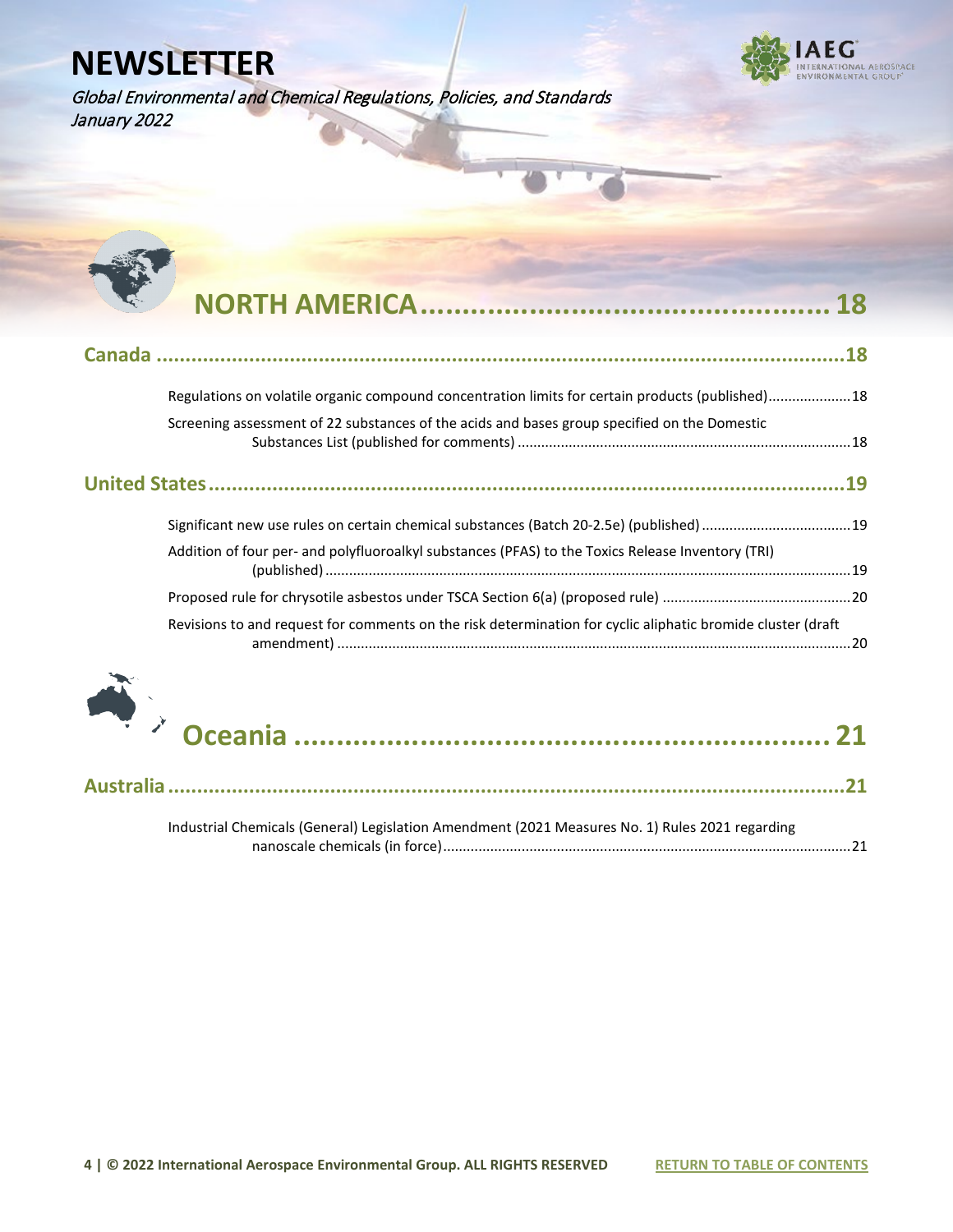Global Environmental and Chemical Regulations, Policies, and Standards January 2022





| Regulations on volatile organic compound concentration limits for certain products (published)18            |  |
|-------------------------------------------------------------------------------------------------------------|--|
| Screening assessment of 22 substances of the acids and bases group specified on the Domestic                |  |
|                                                                                                             |  |
| Significant new use rules on certain chemical substances (Batch 20-2.5e) (published)  19                    |  |
| Addition of four per- and polyfluoroalkyl substances (PFAS) to the Toxics Release Inventory (TRI)           |  |
|                                                                                                             |  |
| Revisions to and request for comments on the risk determination for cyclic aliphatic bromide cluster (draft |  |



|--|--|--|

[Industrial Chemicals \(General\) Legislation Amendment \(2021 Measures No. 1\) Rules 2021 regarding](#page--1-2)  [nanoscale chemicals \(in force\)........................................................................................................21](#page--1-2)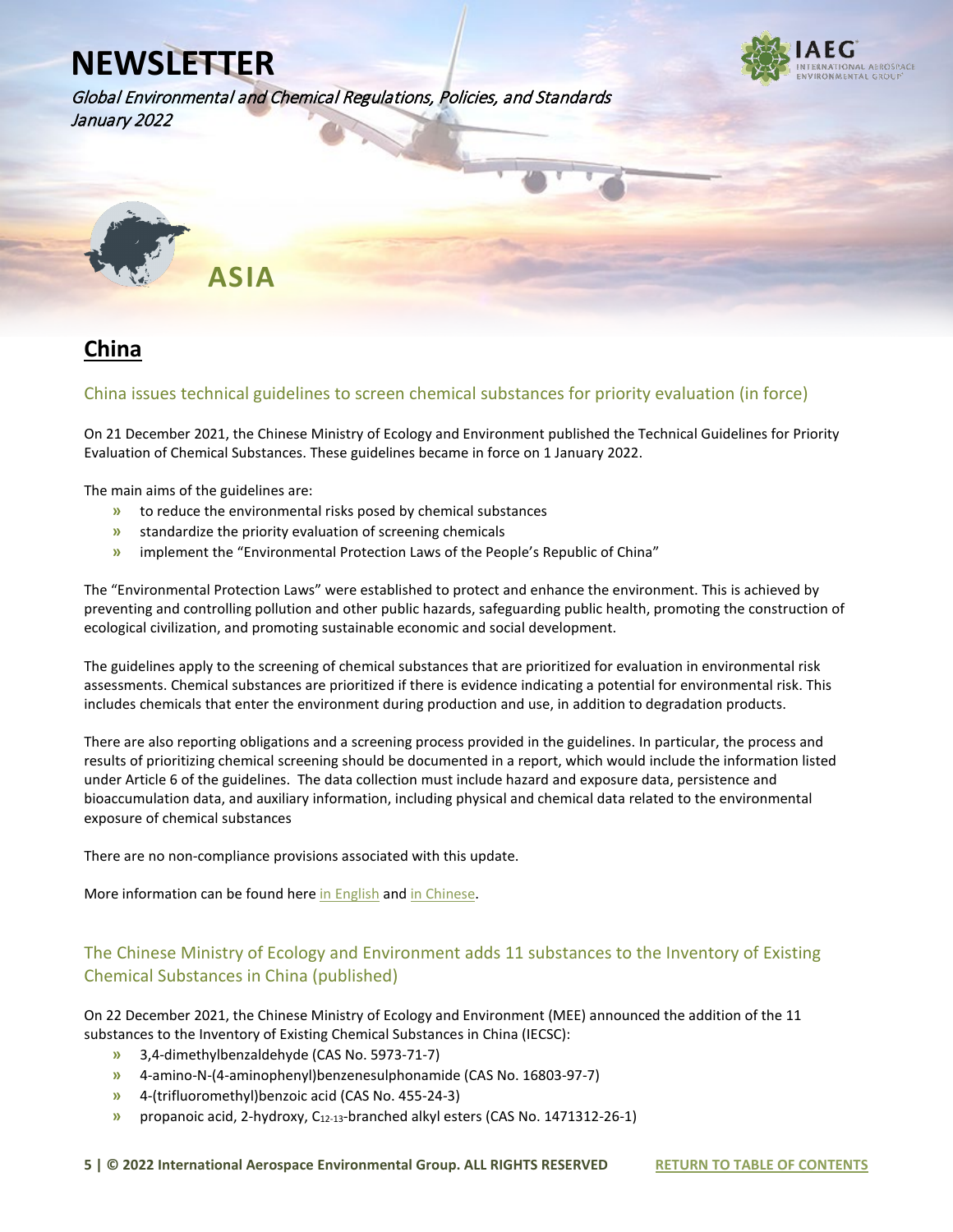

Global Environmental and Chemical Regulations, Policies, and Standards January 2022



#### **China**

#### China issues technical guidelines to screen chemical substances for priority evaluation (in force)

On 21 December 2021, the Chinese Ministry of Ecology and Environment published the Technical Guidelines for Priority Evaluation of Chemical Substances. These guidelines became in force on 1 January 2022.

The main aims of the guidelines are:

- **»** to reduce the environmental risks posed by chemical substances
- **»** standardize the priority evaluation of screening chemicals
- **»** implement the "Environmental Protection Laws of the People's Republic of China"

The "Environmental Protection Laws" were established to protect and enhance the environment. This is achieved by preventing and controlling pollution and other public hazards, safeguarding public health, promoting the construction of ecological civilization, and promoting sustainable economic and social development.

The guidelines apply to the screening of chemical substances that are prioritized for evaluation in environmental risk assessments. Chemical substances are prioritized if there is evidence indicating a potential for environmental risk. This includes chemicals that enter the environment during production and use, in addition to degradation products.

There are also reporting obligations and a screening process provided in the guidelines. In particular, the process and results of prioritizing chemical screening should be documented in a report, which would include the information listed under Article 6 of the guidelines. The data collection must include hazard and exposure data, persistence and bioaccumulation data, and auxiliary information, including physical and chemical data related to the environmental exposure of chemical substances

There are no non-compliance provisions associated with this update.

More information can be found her[e in English](https://www.iaeg.com/elements/pdf/newsletters-2022/CHN_Technical_Guidelines_for_Priority_Evaluation_of_Chemical_Substances_english.pdf) and [in Chinese.](http://www.mee.gov.cn/xxgk2018/xxgk/xxgk01/202112/t20211223_965035.html) 

#### The Chinese Ministry of Ecology and Environment adds 11 substances to the Inventory of Existing Chemical Substances in China (published)

On 22 December 2021, the Chinese Ministry of Ecology and Environment (MEE) announced the addition of the 11 substances to the Inventory of Existing Chemical Substances in China (IECSC):

- **»** 3,4-dimethylbenzaldehyde (CAS No. 5973-71-7)
- **»** 4-amino-N-(4-aminophenyl)benzenesulphonamide (CAS No. 16803-97-7)
- **»** 4-(trifluoromethyl)benzoic acid (CAS No. 455-24-3)
- **»** propanoic acid, 2-hydroxy, C12-13-branched alkyl esters (CAS No. 1471312-26-1)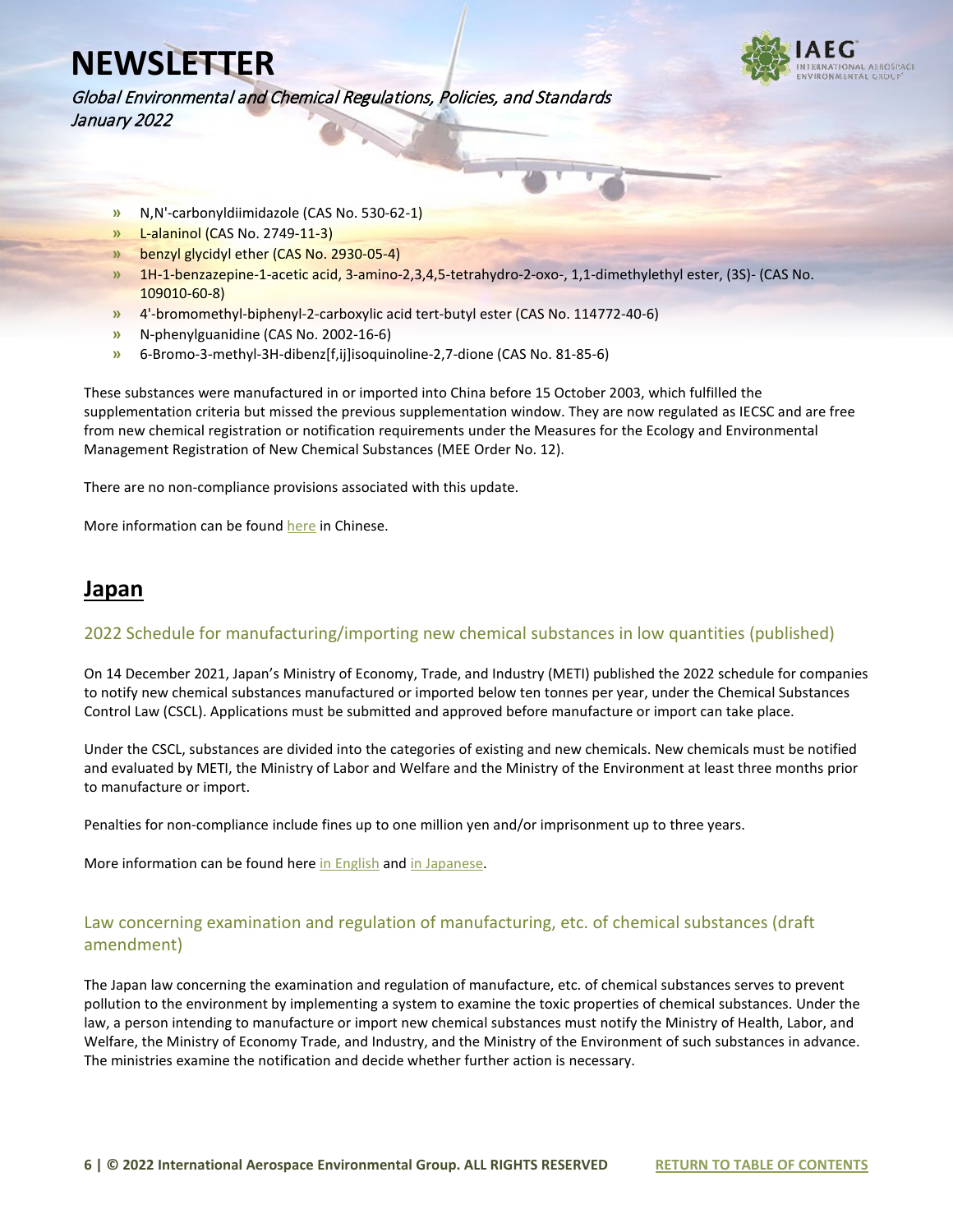Global Environmental and Chemical Regulations, Policies, and Standards January 2022

- **»** N,N'-carbonyldiimidazole (CAS No. 530-62-1)
- **»** L-alaninol (CAS No. 2749-11-3)
- **»** benzyl glycidyl ether (CAS No. 2930-05-4)
- **»** 1H-1-benzazepine-1-acetic acid, 3-amino-2,3,4,5-tetrahydro-2-oxo-, 1,1-dimethylethyl ester, (3S)- (CAS No. 109010-60-8)
- **»** 4'-bromomethyl-biphenyl-2-carboxylic acid tert-butyl ester (CAS No. 114772-40-6)
- **»** N-phenylguanidine (CAS No. 2002-16-6)
- **»** 6-Bromo-3-methyl-3H-dibenz[f,ij]isoquinoline-2,7-dione (CAS No. 81-85-6)

These substances were manufactured in or imported into China before 15 October 2003, which fulfilled the supplementation criteria but missed the previous supplementation window. They are now regulated as IECSC and are free from new chemical registration or notification requirements under the Measures for the Ecology and Environmental Management Registration of New Chemical Substances (MEE Order No. 12).

There are no non-compliance provisions associated with this update.

More information can be found [here](http://www.mee.gov.cn/xxgk2018/xxgk/xxgk01/202112/t20211223_965024.html) in Chinese.

#### **Japan**

#### 2022 Schedule for manufacturing/importing new chemical substances in low quantities (published)

On 14 December 2021, Japan's Ministry of Economy, Trade, and Industry (METI) published the 2022 schedule for companies to notify new chemical substances manufactured or imported below ten tonnes per year, under the Chemical Substances Control Law (CSCL). Applications must be submitted and approved before manufacture or import can take place.

Under the CSCL, substances are divided into the categories of existing and new chemicals. New chemicals must be notified and evaluated by METI, the Ministry of Labor and Welfare and the Ministry of the Environment at least three months prior to manufacture or import.

Penalties for non-compliance include fines up to one million yen and/or imprisonment up to three years.

More information can be found her[e in English](https://www.iaeg.com/elements/pdf/newsletters-2022/JPN_2022_CSCL_Notification_schedule_english.pdf) an[d in Japanese.](https://www.meti.go.jp/policy/chemical_management/kasinhou/files/information/shinki/teiseisannittei_R4.pdf)

#### Law concerning examination and regulation of manufacturing, etc. of chemical substances (draft amendment)

The Japan law concerning the examination and regulation of manufacture, etc. of chemical substances serves to prevent pollution to the environment by implementing a system to examine the toxic properties of chemical substances. Under the law, a person intending to manufacture or import new chemical substances must notify the Ministry of Health, Labor, and Welfare, the Ministry of Economy Trade, and Industry, and the Ministry of the Environment of such substances in advance. The ministries examine the notification and decide whether further action is necessary.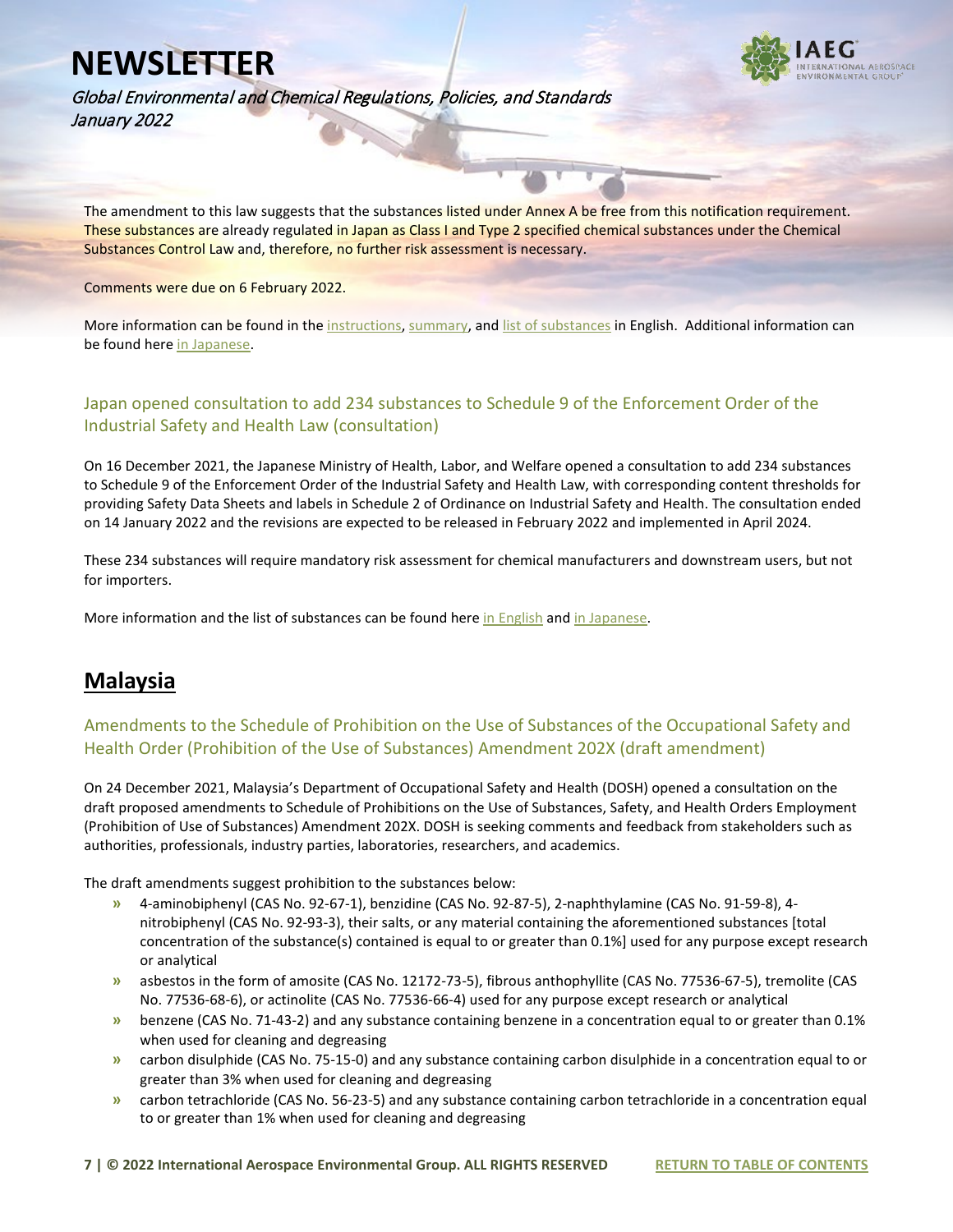

Global Environmental and Chemical Regulations, Policies, and Standards January 2022

The amendment to this law suggests that the substances listed under Annex A be free from this notification requirement. These substances are already regulated in Japan as Class I and Type 2 specified chemical substances under the Chemical Substances Control Law and, therefore, no further risk assessment is necessary.

Comments were due on 6 February 2022.

More information can be found in th[e instructions,](https://www.iaeg.com/elements/pdf/newsletters-2022/JPN_Draft_Amendment_to_Law_on_examination_of_chemicals_Instructions_english.pdf) [summary,](https://www.iaeg.com/elements/pdf/newsletters-2022/JPN_Draft_Amendment_to_Law_on_examination_of_chemicals_Summary_english.pdf) and [list of substances](https://www.iaeg.com/elements/pdf/newsletters-2022/JPN_Draft_Amendment_to%20Law_on_examination_of_chemicals_Substance_List_english.pdf) in English. Additional information can be found here [in Japanese.](https://public-comment.e-gov.go.jp/servlet/Public?CLASSNAME=PCMMSTDETAIL&id=595222002&Mode=0)

#### Japan opened consultation to add 234 substances to Schedule 9 of the Enforcement Order of the Industrial Safety and Health Law (consultation)

On 16 December 2021, the Japanese Ministry of Health, Labor, and Welfare opened a consultation to add 234 substances to Schedule 9 of the Enforcement Order of the Industrial Safety and Health Law, with corresponding content thresholds for providing Safety Data Sheets and labels in Schedule 2 of Ordinance on Industrial Safety and Health. The consultation ended on 14 January 2022 and the revisions are expected to be released in February 2022 and implemented in April 2024.

These 234 substances will require mandatory risk assessment for chemical manufacturers and downstream users, but not for importers.

More information and the list of substances can be found her[e in English](https://www.iaeg.com/elements/pdf/newsletters-2022/JPN_ISHL_Draft_Inventory_Update_english.pdf) and [in Japanese.](https://public-comment.e-gov.go.jp/servlet/Public?CLASSNAME=PCMMSTDETAIL&id=495210319&Mode=0)

#### **Malaysia**

#### Amendments to the Schedule of Prohibition on the Use of Substances of the Occupational Safety and Health Order (Prohibition of the Use of Substances) Amendment 202X (draft amendment)

On 24 December 2021, Malaysia's Department of Occupational Safety and Health (DOSH) opened a consultation on the draft proposed amendments to Schedule of Prohibitions on the Use of Substances, Safety, and Health Orders Employment (Prohibition of Use of Substances) Amendment 202X. DOSH is seeking comments and feedback from stakeholders such as authorities, professionals, industry parties, laboratories, researchers, and academics.

The draft amendments suggest prohibition to the substances below:

- **»** 4-aminobiphenyl (CAS No. 92-67-1), benzidine (CAS No. 92-87-5), 2-naphthylamine (CAS No. 91-59-8), 4 nitrobiphenyl (CAS No. 92-93-3), their salts, or any material containing the aforementioned substances [total concentration of the substance(s) contained is equal to or greater than 0.1%] used for any purpose except research or analytical
- **»** asbestos in the form of amosite (CAS No. 12172-73-5), fibrous anthophyllite (CAS No. 77536-67-5), tremolite (CAS No. 77536-68-6), or actinolite (CAS No. 77536-66-4) used for any purpose except research or analytical
- **»** benzene (CAS No. 71-43-2) and any substance containing benzene in a concentration equal to or greater than 0.1% when used for cleaning and degreasing
- **»** carbon disulphide (CAS No. 75-15-0) and any substance containing carbon disulphide in a concentration equal to or greater than 3% when used for cleaning and degreasing
- **»** carbon tetrachloride (CAS No. 56-23-5) and any substance containing carbon tetrachloride in a concentration equal to or greater than 1% when used for cleaning and degreasing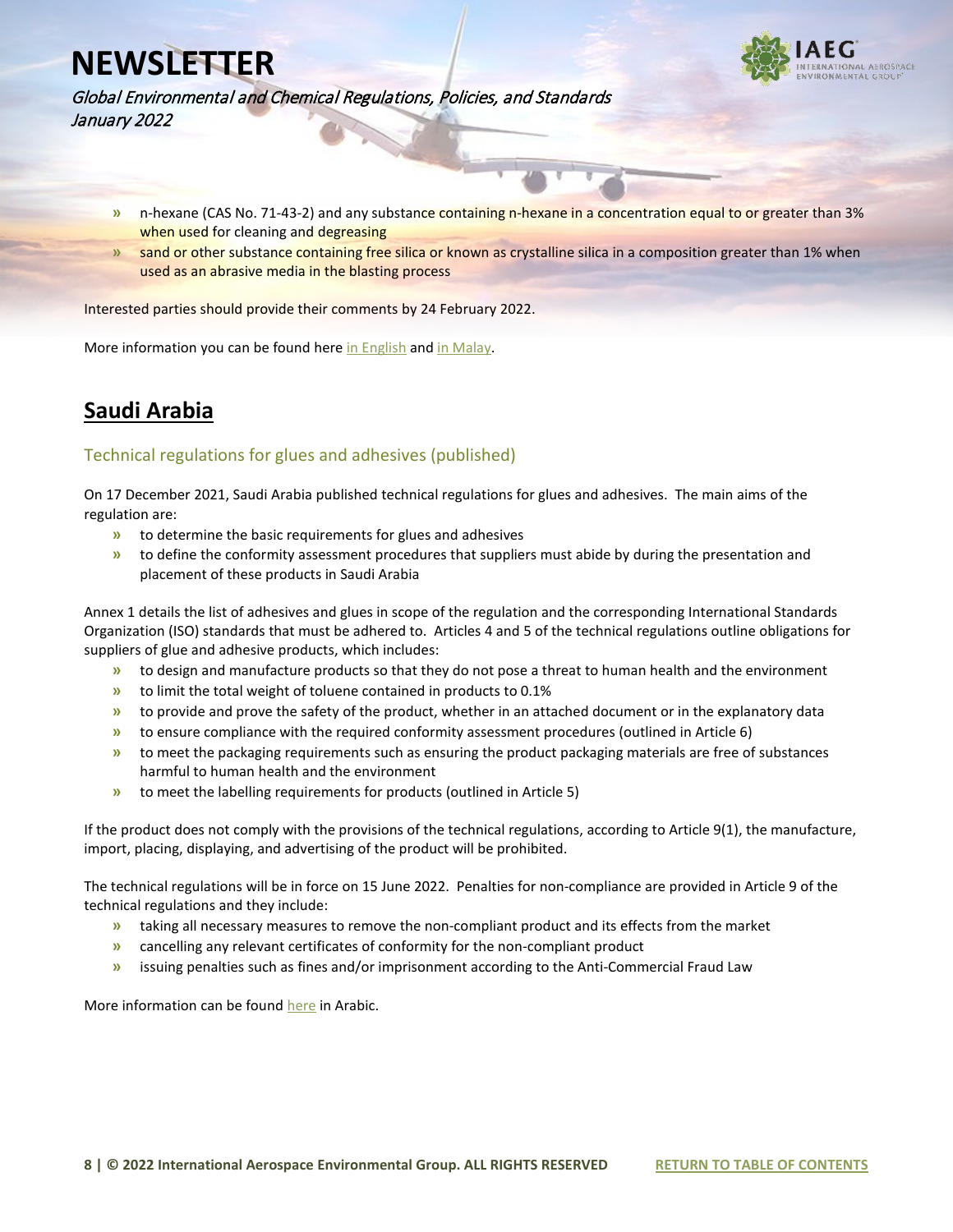

Global Environmental and Chemical Regulations, Policies, and Standards January 2022

- **»** n-hexane (CAS No. 71-43-2) and any substance containing n-hexane in a concentration equal to or greater than 3% when used for cleaning and degreasing
- **»** sand or other substance containing free silica or known as crystalline silica in a composition greater than 1% when used as an abrasive media in the blasting process

Interested parties should provide their comments by 24 February 2022.

More information you can be found here [in English](https://www.iaeg.com/elements/pdf/newsletters-2022/MYS_Draft_Proposed_Amendments_to_Prohibition_of_Use_of_Substances_english.pdf) and [in Malay.](https://www.dosh.gov.my/index.php/highlights/2212-seranta-awam-bagi-draf-cadangan-pindaan-kepada-jadual-larangan-penggunaan-bahan-perintah-keselamatan-dan-kesihatan-pekerjaan-larangan-penggunaan-bahan-pindaan-202x)

#### **Saudi Arabia**

#### Technical regulations for glues and adhesives (published)

On 17 December 2021, Saudi Arabia published technical regulations for glues and adhesives. The main aims of the regulation are:

- **»** to determine the basic requirements for glues and adhesives
- **»** to define the conformity assessment procedures that suppliers must abide by during the presentation and placement of these products in Saudi Arabia

Annex 1 details the list of adhesives and glues in scope of the regulation and the corresponding International Standards Organization (ISO) standards that must be adhered to. Articles 4 and 5 of the technical regulations outline obligations for suppliers of glue and adhesive products, which includes:

- **»** to design and manufacture products so that they do not pose a threat to human health and the environment
- **»** to limit the total weight of toluene contained in products to 0.1%
- **»** to provide and prove the safety of the product, whether in an attached document or in the explanatory data
- **»** to ensure compliance with the required conformity assessment procedures (outlined in Article 6)
- **»** to meet the packaging requirements such as ensuring the product packaging materials are free of substances harmful to human health and the environment
- **»** to meet the labelling requirements for products (outlined in Article 5)

If the product does not comply with the provisions of the technical regulations, according to Article 9(1), the manufacture, import, placing, displaying, and advertising of the product will be prohibited.

The technical regulations will be in force on 15 June 2022. Penalties for non-compliance are provided in Article 9 of the technical regulations and they include:

- **»** taking all necessary measures to remove the non-compliant product and its effects from the market
- **»** cancelling any relevant certificates of conformity for the non-compliant product
- **»** issuing penalties such as fines and/or imprisonment according to the Anti-Commercial Fraud Law

More information can be foun[d here](https://uqn.gov.sa/%d8%a7%d9%84%d9%84%d8%a7%d8%a6%d8%ad%d8%a9-%d8%a7%d9%84%d9%81%d9%86%d9%8a%d8%a9-%d9%84%d9%84%d8%ba%d8%b1%d8%a7%d8%a1-%d9%88%d8%a7%d9%84%d9%85%d9%88%d8%a7%d8%af-%d8%a7%d9%84%d9%84%d8%a7%d8%b5%d9%82/) in Arabic.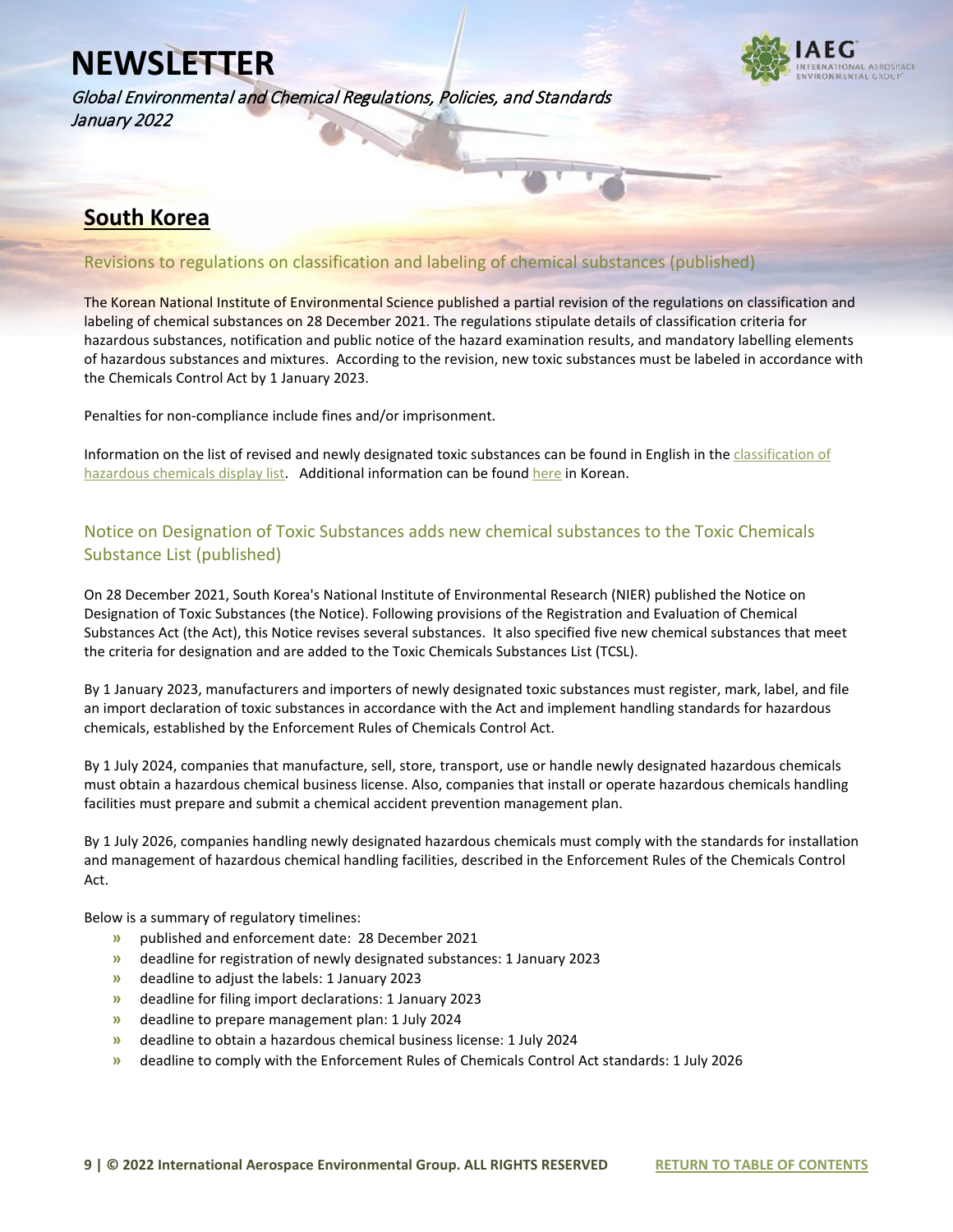Global Environmental and Chemical Regulations, Policies, and Standards January 2022



#### **South Korea**

#### Revisions to regulations on classification and labeling of chemical substances (published)

The Korean National Institute of Environmental Science published a partial revision of the regulations on classification and labeling of chemical substances on 28 December 2021. The regulations stipulate details of classification criteria for hazardous substances, notification and public notice of the hazard examination results, and mandatory labelling elements of hazardous substances and mixtures. According to the revision, new toxic substances must be labeled in accordance with the Chemicals Control Act by 1 January 2023.

Penalties for non-compliance include fines and/or imprisonment.

Information on the list of revised and newly designated toxic substances can be found in English in the classification of [hazardous chemicals display list.](https://www.iaeg.com/elements/pdf/newsletters-2022/KOR_Amendment_Regulations_on_Classification_and_Labeling_english.pdf) Additional information can be foun[d here](https://www.law.go.kr/LSW/admRulLsInfoP.do?chrClsCd=&admRulSeq=2100000207470) in Korean.

#### Notice on Designation of Toxic Substances adds new chemical substances to the Toxic Chemicals Substance List (published)

On 28 December 2021, South Korea's National Institute of Environmental Research (NIER) published the Notice on Designation of Toxic Substances (the Notice). Following provisions of the Registration and Evaluation of Chemical Substances Act (the Act), this Notice revises several substances. It also specified five new chemical substances that meet the criteria for designation and are added to the Toxic Chemicals Substances List (TCSL).

By 1 January 2023, manufacturers and importers of newly designated toxic substances must register, mark, label, and file an import declaration of toxic substances in accordance with the Act and implement handling standards for hazardous chemicals, established by the Enforcement Rules of Chemicals Control Act.

By 1 July 2024, companies that manufacture, sell, store, transport, use or handle newly designated hazardous chemicals must obtain a hazardous chemical business license. Also, companies that install or operate hazardous chemicals handling facilities must prepare and submit a chemical accident prevention management plan.

By 1 July 2026, companies handling newly designated hazardous chemicals must comply with the standards for installation and management of hazardous chemical handling facilities, described in the Enforcement Rules of the Chemicals Control Act.

Below is a summary of regulatory timelines:

- **»** published and enforcement date: 28 December 2021
- **»** deadline for registration of newly designated substances: 1 January 2023
- **»** deadline to adjust the labels: 1 January 2023
- **»** deadline for filing import declarations: 1 January 2023
- **»** deadline to prepare management plan: 1 July 2024
- **»** deadline to obtain a hazardous chemical business license: 1 July 2024
- **»** deadline to comply with the Enforcement Rules of Chemicals Control Act standards: 1 July 2026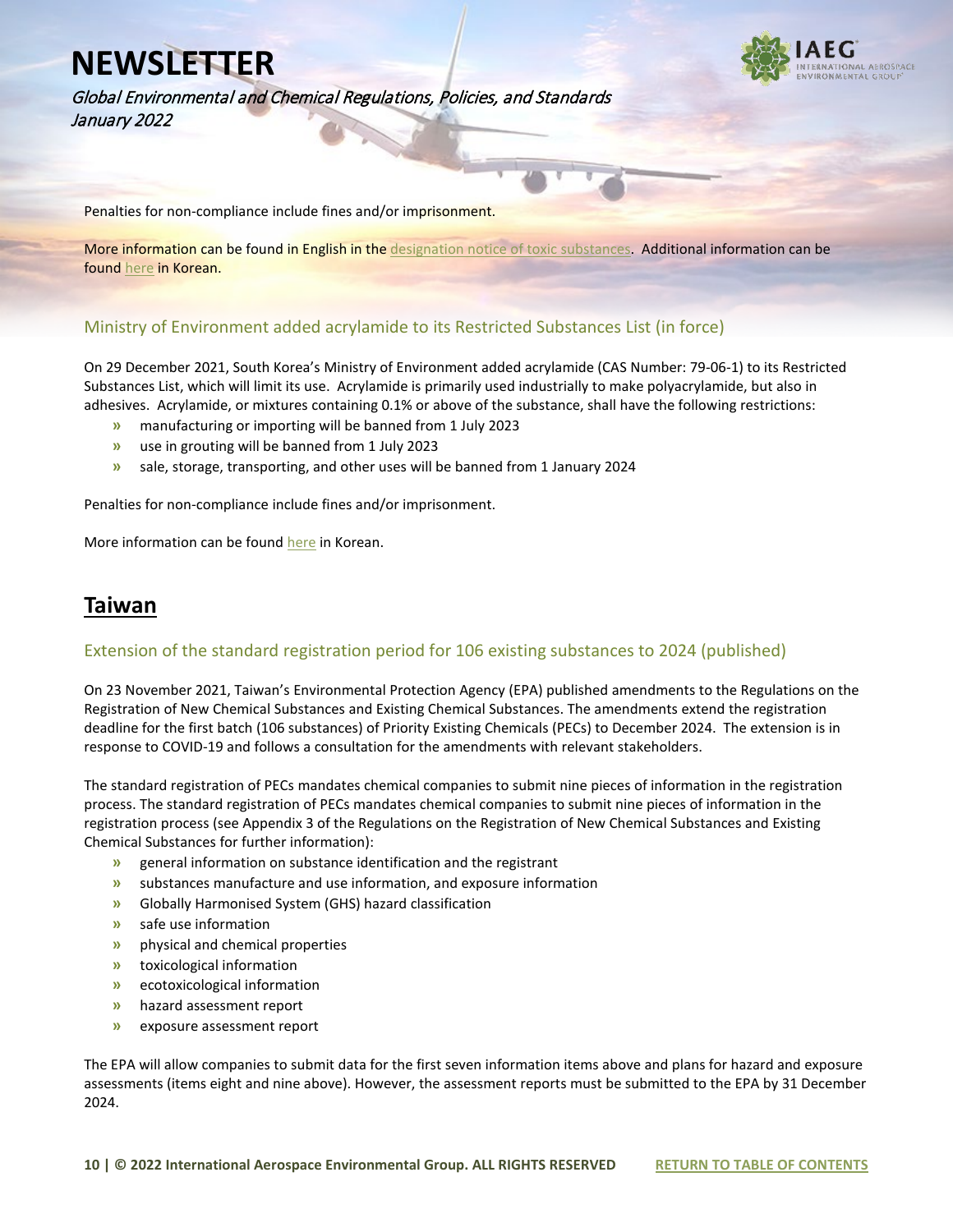Global Environmental and Chemical Regulations, Policies, and Standards January 2022

Penalties for non-compliance include fines and/or imprisonment.

More information can be found in English in the [designation notice of toxic substances.](https://www.iaeg.com/elements/pdf/newsletters-2022/KOR_Amendment_Designation_notice_of_toxic_substances_english.pdf) Additional information can be foun[d here](https://www.law.go.kr/LSW/admRulLsInfoP.do?chrClsCd=&admRulSeq=2100000207419#J860359) in Korean.

#### Ministry of Environment added acrylamide to its Restricted Substances List (in force)

On 29 December 2021, South Korea's Ministry of Environment added acrylamide (CAS Number: 79-06-1) to its Restricted Substances List, which will limit its use. Acrylamide is primarily used industrially to make polyacrylamide, but also in adhesives. Acrylamide, or mixtures containing 0.1% or above of the substance, shall have the following restrictions:

- **»** manufacturing or importing will be banned from 1 July 2023
- **»** use in grouting will be banned from 1 July 2023
- **»** sale, storage, transporting, and other uses will be banned from 1 January 2024

Penalties for non-compliance include fines and/or imprisonment.

More information can be foun[d here](https://www.law.go.kr/LSW/admRulLsInfoP.do?chrClsCd=&admRulSeq=2100000207761) in Korean.

#### **Taiwan**

#### Extension of the standard registration period for 106 existing substances to 2024 (published)

On 23 November 2021, Taiwan's Environmental Protection Agency (EPA) published amendments to the Regulations on the Registration of New Chemical Substances and Existing Chemical Substances. The amendments extend the registration deadline for the first batch (106 substances) of Priority Existing Chemicals (PECs) to December 2024. The extension is in response to COVID-19 and follows a consultation for the amendments with relevant stakeholders.

The standard registration of PECs mandates chemical companies to submit nine pieces of information in the registration process. The standard registration of PECs mandates chemical companies to submit nine pieces of information in the registration process (see Appendix 3 of the Regulations on the Registration of New Chemical Substances and Existing Chemical Substances for further information):

- **»** general information on substance identification and the registrant
- **»** substances manufacture and use information, and exposure information
- **»** Globally Harmonised System (GHS) hazard classification
- **»** safe use information
- **»** physical and chemical properties
- **»** toxicological information
- **»** ecotoxicological information
- **»** hazard assessment report
- **»** exposure assessment report

The EPA will allow companies to submit data for the first seven information items above and plans for hazard and exposure assessments (items eight and nine above). However, the assessment reports must be submitted to the EPA by 31 December 2024.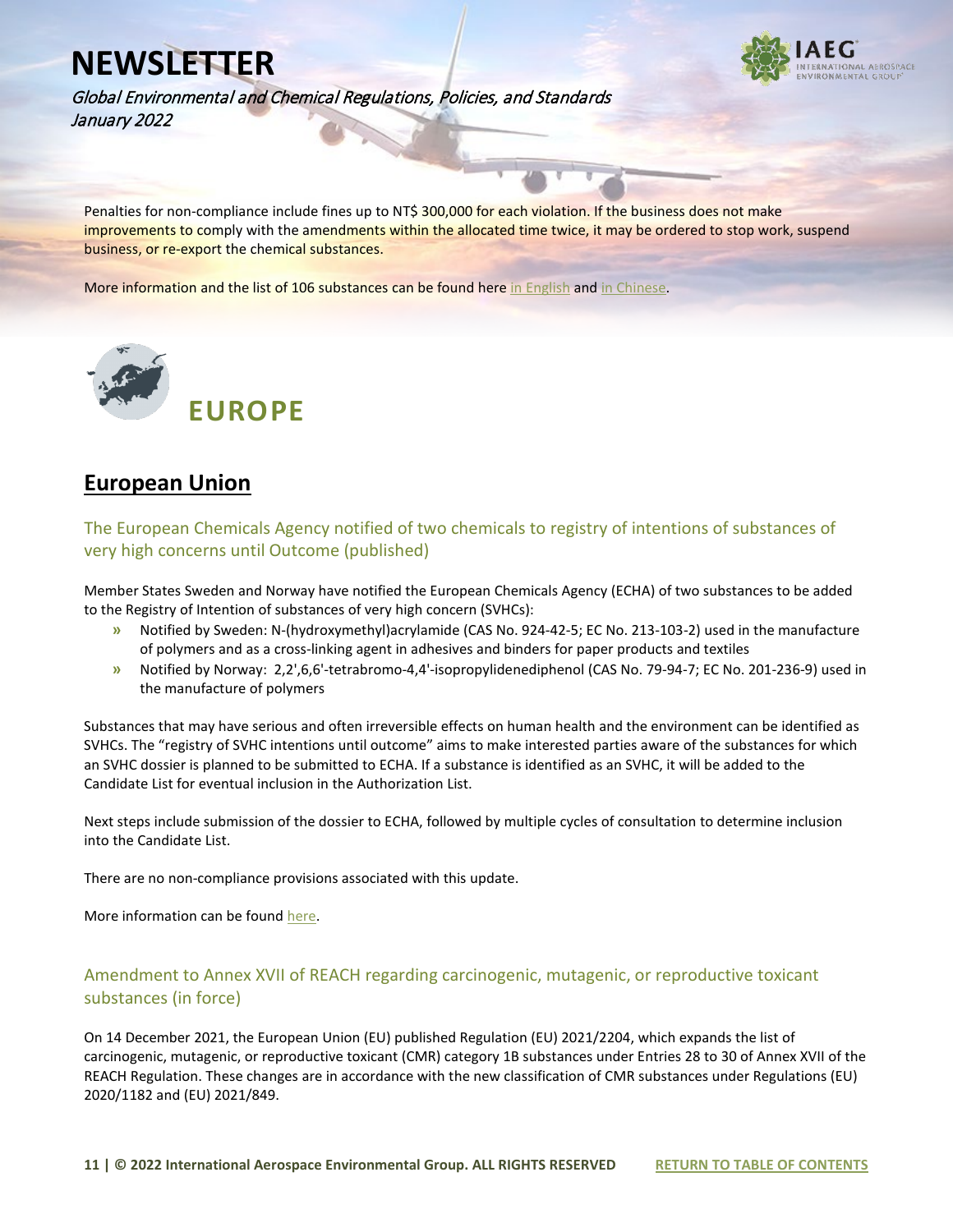

Global Environmental and Chemical Regulations, Policies, and Standards January 2022

Penalties for non-compliance include fines up to NT\$ 300,000 for each violation. If the business does not make improvements to comply with the amendments within the allocated time twice, it may be ordered to stop work, suspend business, or re-export the chemical substances.

More information and the list of 106 substances can be found here [in English](https://www.iaeg.com/elements/pdf/newsletters-2022/TWN_PECs_Amendments_Regulations_english.pdf) and [in Chinese.](https://www.tcsb.gov.tw/cp-21-5578-1eb9d-1.html)



#### **European Union**

The European Chemicals Agency notified of two chemicals to registry of intentions of substances of very high concerns until Outcome (published)

Member States Sweden and Norway have notified the European Chemicals Agency (ECHA) of two substances to be added to the Registry of Intention of substances of very high concern (SVHCs):

- **»** Notified by Sweden: N-(hydroxymethyl)acrylamide (CAS No. 924-42-5; EC No. 213-103-2) used in the manufacture of polymers and as a cross-linking agent in adhesives and binders for paper products and textiles
- **»** Notified by Norway: 2,2',6,6'-tetrabromo-4,4'-isopropylidenediphenol (CAS No. 79-94-7; EC No. 201-236-9) used in the manufacture of polymers

Substances that may have serious and often irreversible effects on human health and the environment can be identified as SVHCs. The "registry of SVHC intentions until outcome" aims to make interested parties aware of the substances for which an SVHC dossier is planned to be submitted to ECHA. If a substance is identified as an SVHC, it will be added to the Candidate List for eventual inclusion in the Authorization List.

Next steps include submission of the dossier to ECHA, followed by multiple cycles of consultation to determine inclusion into the Candidate List.

There are no non-compliance provisions associated with this update.

More information can be found [here.](https://echa.europa.eu/fr/registry-of-svhc-intentions)

#### Amendment to Annex XVII of REACH regarding carcinogenic, mutagenic, or reproductive toxicant substances (in force)

On 14 December 2021, the European Union (EU) published Regulation (EU) 2021/2204, which expands the list of carcinogenic, mutagenic, or reproductive toxicant (CMR) category 1B substances under Entries 28 to 30 of Annex XVII of the REACH Regulation. These changes are in accordance with the new classification of CMR substances under Regulations (EU) 2020/1182 and (EU) 2021/849.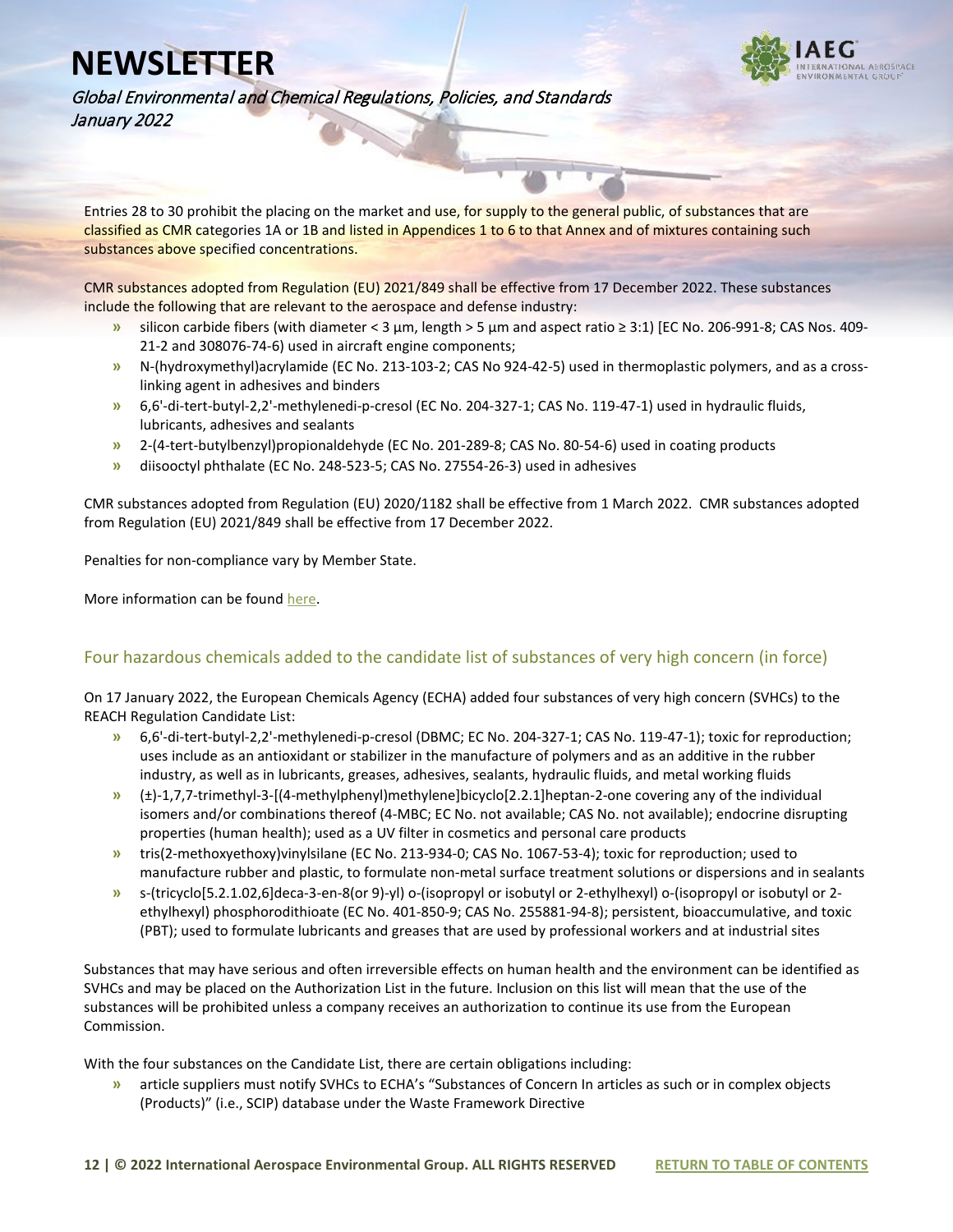

Global Environmental and Chemical Regulations, Policies, and Standards January 2022

Entries 28 to 30 prohibit the placing on the market and use, for supply to the general public, of substances that are classified as CMR categories 1A or 1B and listed in Appendices 1 to 6 to that Annex and of mixtures containing such substances above specified concentrations.

CMR substances adopted from Regulation (EU) 2021/849 shall be effective from 17 December 2022. These substances include the following that are relevant to the aerospace and defense industry:

- **»** silicon carbide fibers (with diameter < 3 μm, length > 5 μm and aspect ratio ≥ 3:1) [EC No. 206-991-8; CAS Nos. 409- 21-2 and 308076-74-6) used in aircraft engine components;
- **»** N-(hydroxymethyl)acrylamide (EC No. 213-103-2; CAS No 924-42-5) used in thermoplastic polymers, and as a crosslinking agent in adhesives and binders
- **»** 6,6'-di-tert-butyl-2,2'-methylenedi-p-cresol (EC No. 204-327-1; CAS No. 119-47-1) used in hydraulic fluids, lubricants, adhesives and sealants
- **»** 2-(4-tert-butylbenzyl)propionaldehyde (EC No. 201-289-8; CAS No. 80-54-6) used in coating products
- **»** diisooctyl phthalate (EC No. 248-523-5; CAS No. 27554-26-3) used in adhesives

CMR substances adopted from Regulation (EU) 2020/1182 shall be effective from 1 March 2022. CMR substances adopted from Regulation (EU) 2021/849 shall be effective from 17 December 2022.

Penalties for non-compliance vary by Member State.

More information can be foun[d here.](https://eur-lex.europa.eu/legal-content/EN/TXT/?uri=CELEX%3A32021R2204)

#### Four hazardous chemicals added to the candidate list of substances of very high concern (in force)

On 17 January 2022, the European Chemicals Agency (ECHA) added four substances of very high concern (SVHCs) to the REACH Regulation Candidate List:

- **»** 6,6'-di-tert-butyl-2,2'-methylenedi-p-cresol (DBMC; EC No. 204-327-1; CAS No. 119-47-1); toxic for reproduction; uses include as an antioxidant or stabilizer in the manufacture of polymers and as an additive in the rubber industry, as well as in lubricants, greases, adhesives, sealants, hydraulic fluids, and metal working fluids
- **»** (±)-1,7,7-trimethyl-3-[(4-methylphenyl)methylene]bicyclo[2.2.1]heptan-2-one covering any of the individual isomers and/or combinations thereof (4-MBC; EC No. not available; CAS No. not available); endocrine disrupting properties (human health); used as a UV filter in cosmetics and personal care products
- **»** tris(2-methoxyethoxy)vinylsilane (EC No. 213-934-0; CAS No. 1067-53-4); toxic for reproduction; used to manufacture rubber and plastic, to formulate non-metal surface treatment solutions or dispersions and in sealants
- **»** s-(tricyclo[5.2.1.02,6]deca-3-en-8(or 9)-yl) o-(isopropyl or isobutyl or 2-ethylhexyl) o-(isopropyl or isobutyl or 2 ethylhexyl) phosphorodithioate (EC No. 401-850-9; CAS No. 255881-94-8); persistent, bioaccumulative, and toxic (PBT); used to formulate lubricants and greases that are used by professional workers and at industrial sites

Substances that may have serious and often irreversible effects on human health and the environment can be identified as SVHCs and may be placed on the Authorization List in the future. Inclusion on this list will mean that the use of the substances will be prohibited unless a company receives an authorization to continue its use from the European Commission.

With the four substances on the Candidate List, there are certain obligations including:

**»** article suppliers must notify SVHCs to ECHA's "Substances of Concern In articles as such or in complex objects (Products)" (i.e., SCIP) database under the Waste Framework Directive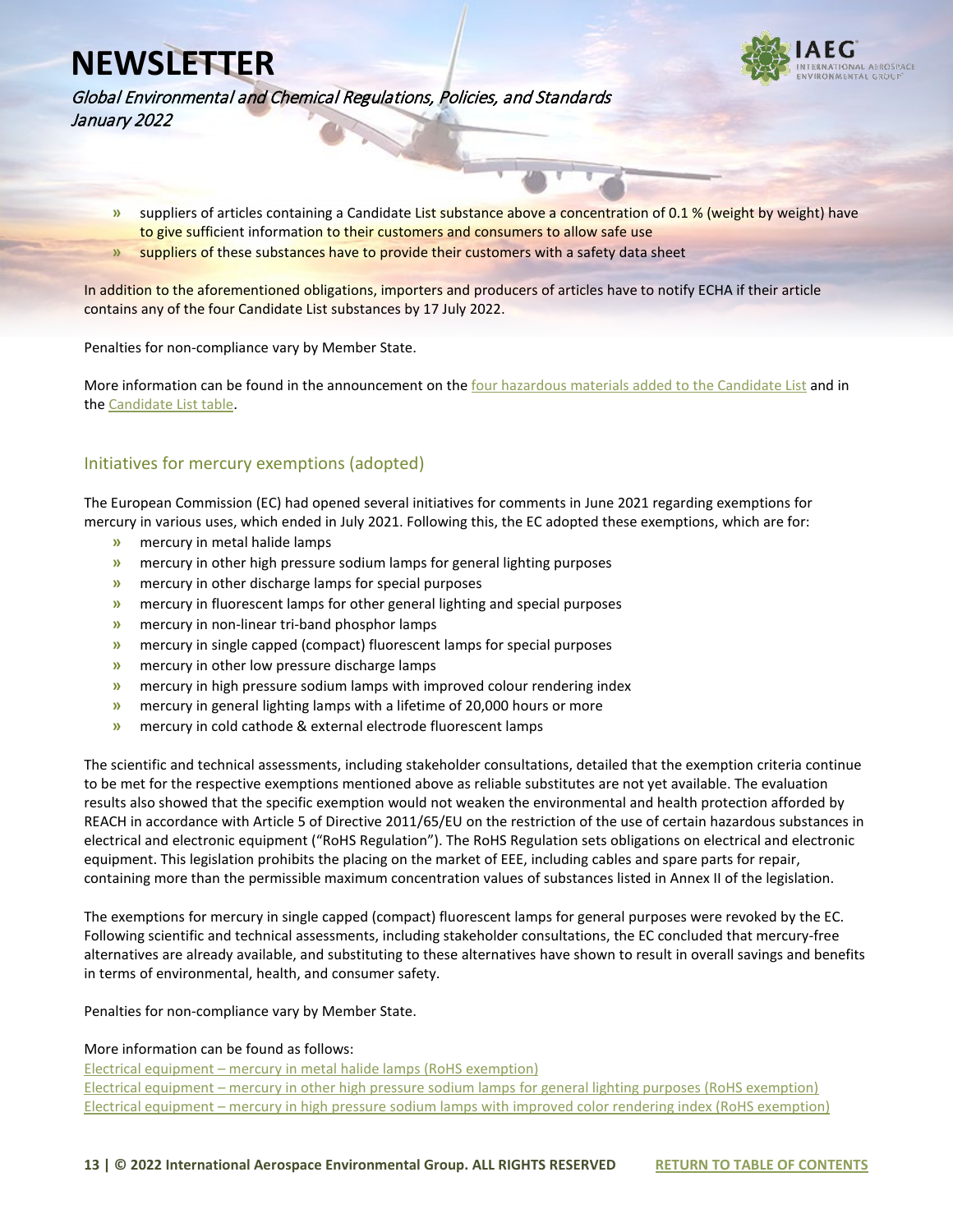

Global Environmental and Chemical Regulations, Policies, and Standards January 2022

- **»** suppliers of articles containing a Candidate List substance above a concentration of 0.1 % (weight by weight) have to give sufficient information to their customers and consumers to allow safe use
- **»** suppliers of these substances have to provide their customers with a safety data sheet

In addition to the aforementioned obligations, importers and producers of articles have to notify ECHA if their article contains any of the four Candidate List substances by 17 July 2022.

Penalties for non-compliance vary by Member State.

More information can be found in the announcement on the [four hazardous materials added to the Candidate List](https://echa.europa.eu/fr/-/four-hazardous-chemicals-added-to-the-candidate-list) and in the [Candidate List table.](https://echa.europa.eu/candidate-list-table)

#### Initiatives for mercury exemptions (adopted)

The European Commission (EC) had opened several initiatives for comments in June 2021 regarding exemptions for mercury in various uses, which ended in July 2021. Following this, the EC adopted these exemptions, which are for:

- **»** mercury in metal halide lamps
- **»** mercury in other high pressure sodium lamps for general lighting purposes
- **»** mercury in other discharge lamps for special purposes
- **»** mercury in fluorescent lamps for other general lighting and special purposes
- **»** mercury in non-linear tri-band phosphor lamps
- **»** mercury in single capped (compact) fluorescent lamps for special purposes
- **»** mercury in other low pressure discharge lamps
- **»** mercury in high pressure sodium lamps with improved colour rendering index
- **»** mercury in general lighting lamps with a lifetime of 20,000 hours or more
- **»** mercury in cold cathode & external electrode fluorescent lamps

The scientific and technical assessments, including stakeholder consultations, detailed that the exemption criteria continue to be met for the respective exemptions mentioned above as reliable substitutes are not yet available. The evaluation results also showed that the specific exemption would not weaken the environmental and health protection afforded by REACH in accordance with Article 5 of Directive 2011/65/EU on the restriction of the use of certain hazardous substances in electrical and electronic equipment ("RoHS Regulation"). The RoHS Regulation sets obligations on electrical and electronic equipment. This legislation prohibits the placing on the market of EEE, including cables and spare parts for repair, containing more than the permissible maximum concentration values of substances listed in Annex II of the legislation.

The exemptions for mercury in single capped (compact) fluorescent lamps for general purposes were revoked by the EC. Following scientific and technical assessments, including stakeholder consultations, the EC concluded that mercury-free alternatives are already available, and substituting to these alternatives have shown to result in overall savings and benefits in terms of environmental, health, and consumer safety.

Penalties for non-compliance vary by Member State.

#### More information can be found as follows:

Electrical equipment – [mercury in metal halide lamps \(RoHS exemption\)](https://ec.europa.eu/info/law/better-regulation/have-your-say/initiatives/13080-Electrical-equipment-mercury-in-metal-halide-lamps-RoHS-exemption-_en) Electrical equipment – [mercury in other high pressure sodium lamps for general lighting purposes \(RoHS exemption\)](https://ec.europa.eu/info/law/better-regulation/have-your-say/initiatives/13079-Electrical-equipment-mercury-in-other-high-pressure-sodium-lamps-for-general-lighting-purposes-RoHS-exemption-_en) Electrical equipment – mercury in high pressure [sodium lamps with improved color rendering index \(RoHS exemption\)](https://ec.europa.eu/info/law/better-regulation/have-your-say/initiatives/13100-Electrical-equipment-Mercury-in-high-pressure-sodium-lamps-with-improved-colour-rendering-index-RoHS-exemption-_en)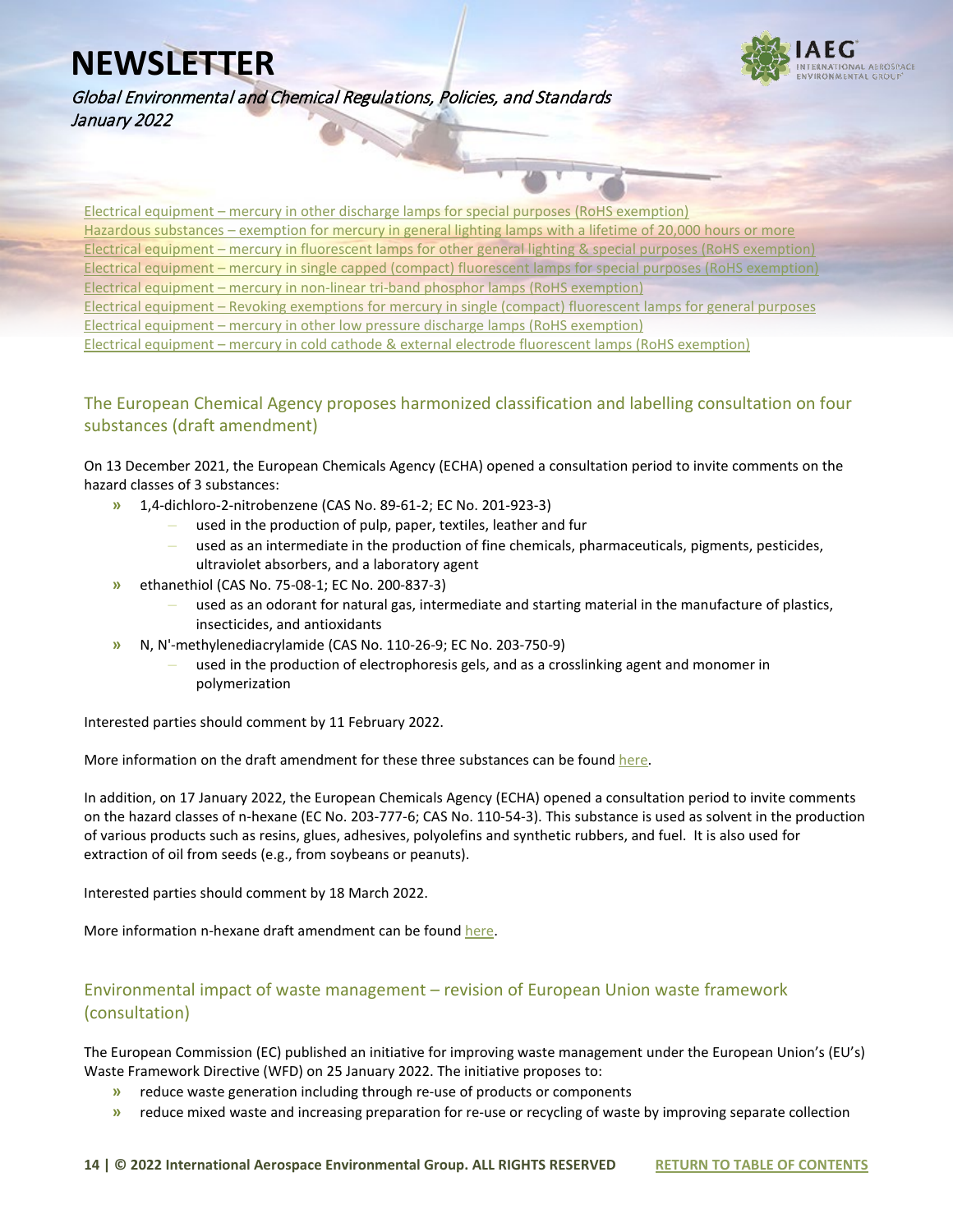

Global Environmental and Chemical Regulations, Policies, and Standards January 2022

Electrical equipment – [mercury in other discharge lamps for special purposes \(RoHS exemption\)](https://ec.europa.eu/info/law/better-regulation/have-your-say/initiatives/13081-Electrical-equipment-mercury-in-other-discharge-lamps-for-special-purposes-RoHS-exemption-_en) Hazardous substances – [exemption for mercury in general lighting lamps with a lifetime of 20,000 hours or more](https://ec.europa.eu/info/law/better-regulation/have-your-say/initiatives/11686-Hazardous-substances-exemption-for-mercury-in-general-lighting-lamps-with-a-lifetime-of-20000-hours-or-more_en) Electrical equipment – [mercury in fluorescent lamps for other general lighting & special purposes \(RoHS exemption\)](https://ec.europa.eu/info/law/better-regulation/have-your-say/initiatives/13076-Electrical-equipment-mercury-in-fluorescent-lamps-for-other-general-lighting-&-special-purposes-RoHS-exemption-_en) Electrical equipment – [mercury in single capped \(compact\) fluorescent lamps for special purposes \(RoHS exemption\)](https://ec.europa.eu/info/law/better-regulation/have-your-say/initiatives/13085-Electrical-equipment-Mercury-in-single-capped-compact-fluorescent-lamps-for-special-purposes-RoHS-exemption-_en) Electrical equipment – [mercury in non-linear tri-band phosphor lamps \(RoHS exemption\)](https://ec.europa.eu/info/law/better-regulation/have-your-say/initiatives/13075-Electrical-equipment-mercury-in-non-linear-tri-band-phosphor-lamps-RoHS-exemption-_en) Electrical equipment – [Revoking exemptions for mercury in single \(compact\) fluorescent lamps for general purposes](https://ec.europa.eu/info/law/better-regulation/have-your-say/initiatives/13091-Electrical-equipment-Revoking-exemptions-for-mercury-in-single-capped-compact-fluorescent-lamps-for-general-purposes_en) Electrical equipment – [mercury in other low pressure discharge lamps \(RoHS exemption\)](https://ec.europa.eu/info/law/better-regulation/have-your-say/initiatives/13078-Electrical-equipment-mercury-in-other-low-pressure-discharge-lamps-RoHS-exemption-_en) Electrical equipment – [mercury in cold cathode & external electrode fluorescent lamps \(RoHS exemption\)](https://ec.europa.eu/info/law/better-regulation/have-your-say/initiatives/13077-Electrical-equipment-mercury-in-cold-cathode-&-external-electrode-fluorescent-lamps-RoHS-exemption-_en)

#### The European Chemical Agency proposes harmonized classification and labelling consultation on four substances (draft amendment)

On 13 December 2021, the European Chemicals Agency (ECHA) opened a consultation period to invite comments on the hazard classes of 3 substances:

- **»** 1,4-dichloro-2-nitrobenzene (CAS No. 89-61-2; EC No. 201-923-3)
	- **–** used in the production of pulp, paper, textiles, leather and fur
	- **–** used as an intermediate in the production of fine chemicals, pharmaceuticals, pigments, pesticides, ultraviolet absorbers, and a laboratory agent
- **»** ethanethiol (CAS No. 75-08-1; EC No. 200-837-3)
	- **–** used as an odorant for natural gas, intermediate and starting material in the manufacture of plastics, insecticides, and antioxidants
- **»** N, N'-methylenediacrylamide (CAS No. 110-26-9; EC No. 203-750-9)
	- **–** used in the production of electrophoresis gels, and as a crosslinking agent and monomer in polymerization

Interested parties should comment by 11 February 2022.

More information on the draft amendment for these three substances can be foun[d here.](https://echa.europa.eu/fi/harmonised-classification-and-labelling-consultation?p_p_id=viewsubstances_WAR_echarevsubstanceportlet&p_p_lifecycle=0&p_p_state=normal&p_p_mode=view&_viewsubstances_WAR_echarevsubstanceportlet_cur=1&_viewsubstances_WAR_echarevsubstanceportlet_delta=50&_viewsubstances_WAR_echarevsubstanceportlet_orderByCol=synonymDynamicField_1350&_viewsubstances_WAR_echarevsubstanceportlet_orderByType=desc)

In addition, on 17 January 2022, the European Chemicals Agency (ECHA) opened a consultation period to invite comments on the hazard classes of n-hexane (EC No. 203-777-6; CAS No. 110-54-3). This substance is used as solvent in the production of various products such as resins, glues, adhesives, polyolefins and synthetic rubbers, and fuel. It is also used for extraction of oil from seeds (e.g., from soybeans or peanuts).

Interested parties should comment by 18 March 2022.

More information n-hexane draft amendment can be found [here.](https://echa.europa.eu/harmonised-classification-and-labelling-consultation/-/substance-rev/68501/del/50/col/synonymDynamicField_1350/type/desc/pre/1/view)

#### Environmental impact of waste management – revision of European Union waste framework (consultation)

The European Commission (EC) published an initiative for improving waste management under the European Union's (EU's) Waste Framework Directive (WFD) on 25 January 2022. The initiative proposes to:

- **»** reduce waste generation including through re-use of products or components
- **»** reduce mixed waste and increasing preparation for re-use or recycling of waste by improving separate collection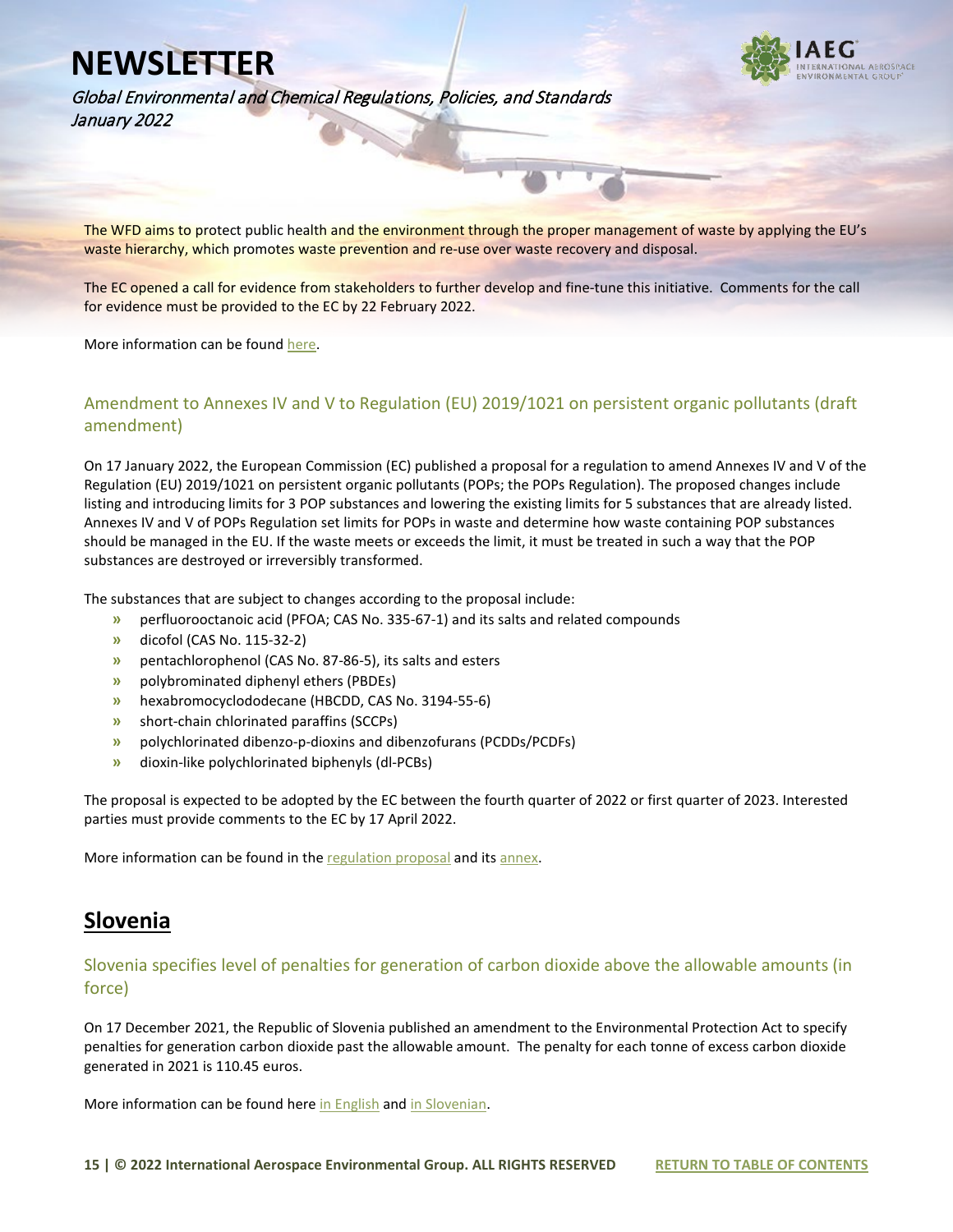

Global Environmental and Chemical Regulations, Policies, and Standards January 2022

The WFD aims to protect public health and the environment through the proper management of waste by applying the EU's waste hierarchy, which promotes waste prevention and re-use over waste recovery and disposal.

The EC opened a call for evidence from stakeholders to further develop and fine-tune this initiative. Comments for the call for evidence must be provided to the EC by 22 February 2022.

More information can be foun[d here.](https://ec.europa.eu/info/law/better-regulation/have-your-say/initiatives/13225-Environmental-impact-of-waste-management-revision-of-EU-waste-framework_en)

#### Amendment to Annexes IV and V to Regulation (EU) 2019/1021 on persistent organic pollutants (draft amendment)

On 17 January 2022, the European Commission (EC) published a proposal for a regulation to amend Annexes IV and V of the Regulation (EU) 2019/1021 on persistent organic pollutants (POPs; the POPs Regulation). The proposed changes include listing and introducing limits for 3 POP substances and lowering the existing limits for 5 substances that are already listed. Annexes IV and V of POPs Regulation set limits for POPs in waste and determine how waste containing POP substances should be managed in the EU. If the waste meets or exceeds the limit, it must be treated in such a way that the POP substances are destroyed or irreversibly transformed.

The substances that are subject to changes according to the proposal include:

- **»** perfluorooctanoic acid (PFOA; CAS No. 335-67-1) and its salts and related compounds
- **»** dicofol (CAS No. 115-32-2)
- **»** pentachlorophenol (CAS No. 87-86-5), its salts and esters
- **»** polybrominated diphenyl ethers (PBDEs)
- **»** hexabromocyclododecane (HBCDD, CAS No. 3194-55-6)
- **»** short-chain chlorinated paraffins (SCCPs)
- **»** polychlorinated dibenzo-p-dioxins and dibenzofurans (PCDDs/PCDFs)
- **»** dioxin-like polychlorinated biphenyls (dl-PCBs)

The proposal is expected to be adopted by the EC between the fourth quarter of 2022 or first quarter of 2023. Interested parties must provide comments to the EC by 17 April 2022.

More information can be found in the [regulation proposal](https://www.iaeg.com/elements/pdf/newsletters-2022/EUR_Proposal_for_Amendment_to_POPs_Regulation.pdf) and it[s annex.](https://www.iaeg.com/elements/pdf/newsletters-2022/EUR_Annex_to_the_Proposal_for_Amendment_to_POPs_Regulation.pdf)

#### **Slovenia**

#### Slovenia specifies level of penalties for generation of carbon dioxide above the allowable amounts (in force)

On 17 December 2021, the Republic of Slovenia published an amendment to the Environmental Protection Act to specify penalties for generation carbon dioxide past the allowable amount. The penalty for each tonne of excess carbon dioxide generated in 2021 is 110.45 euros.

More information can be found here [in English](https://www.iaeg.com/elements/pdf/newsletters-2022/SLO_Amendment_to_Environmental_Protection_Act_on_Penalties_english.pdf) an[d in Slovenian.](https://www.uradni-list.si/glasilo-uradni-list-rs/vsebina/2021-01-3966/sklep-o-visini-penalov-za-vsako-zaceto-tono-ekvivalenta-ogljikovega-dioksida-za-leto-2021)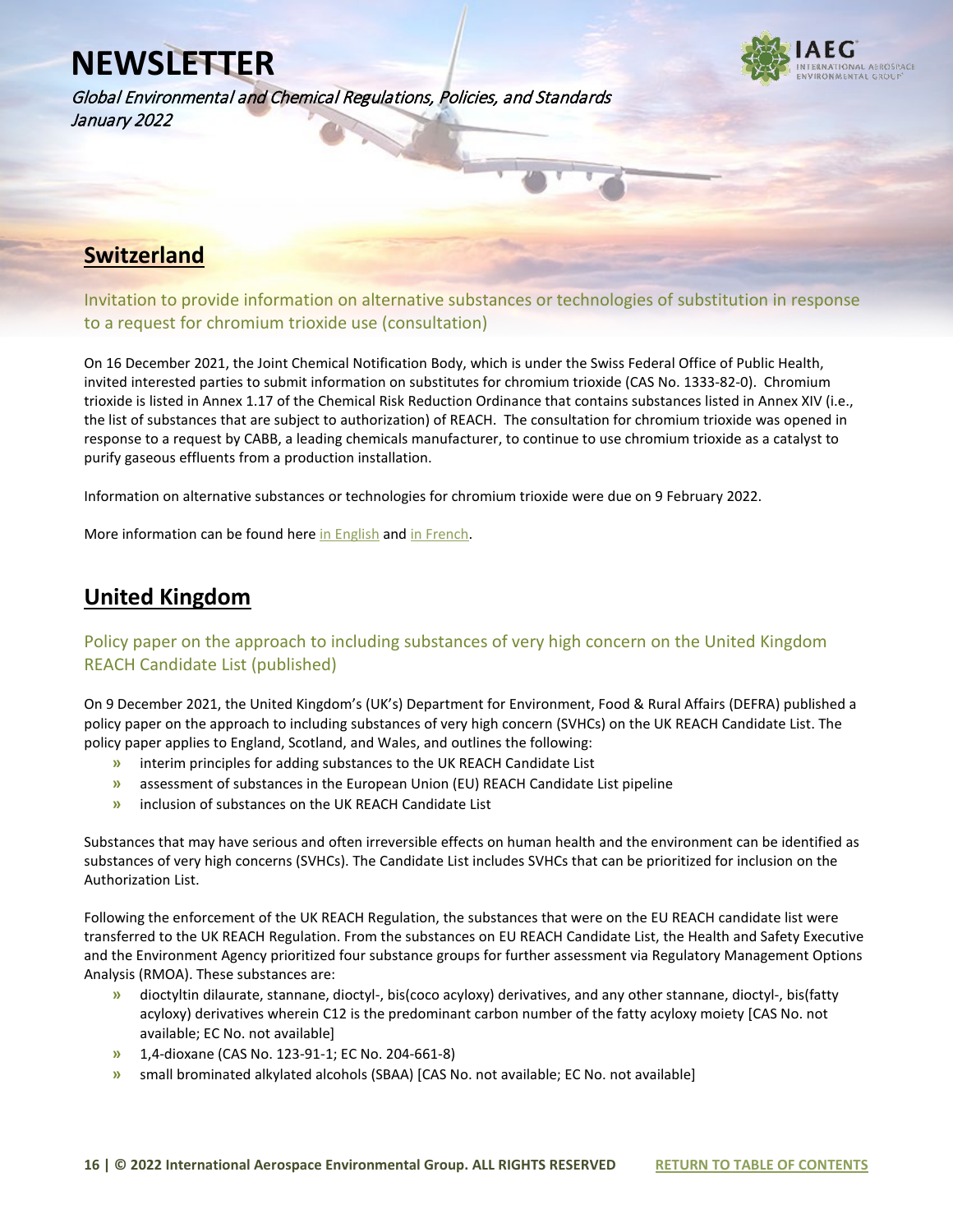Global Environmental and Chemical Regulations, Policies, and Standards January 2022



#### **Switzerland**

Invitation to provide information on alternative substances or technologies of substitution in response to a request for chromium trioxide use (consultation)

On 16 December 2021, the Joint Chemical Notification Body, which is under the Swiss Federal Office of Public Health, invited interested parties to submit information on substitutes for chromium trioxide (CAS No. 1333-82-0). Chromium trioxide is listed in Annex 1.17 of the Chemical Risk Reduction Ordinance that contains substances listed in Annex XIV (i.e., the list of substances that are subject to authorization) of REACH. The consultation for chromium trioxide was opened in response to a request by CABB, a leading chemicals manufacturer, to continue to use chromium trioxide as a catalyst to purify gaseous effluents from a production installation.

Information on alternative substances or technologies for chromium trioxide were due on 9 February 2022.

More information can be found her[e in English](https://www.iaeg.com/elements/pdf/newsletters-2022/SLO_Amendment_to_Environmental_Protection_Act_on_Penalties_english.pdf) an[d in French.](https://www-anmeldestelle-admin-ch.translate.goog/chem/fr/home/themen/pflicht-hersteller/stoffe/stoffe-anhang-chemrrv-reach/aktuelle-konsultationen-zu-beantragten-verwendungen.html?_x_tr_sl=auto&_x_tr_tl=en&_x_tr_hl=en) 

#### **United Kingdom**

#### Policy paper on the approach to including substances of very high concern on the United Kingdom REACH Candidate List (published)

On 9 December 2021, the United Kingdom's (UK's) Department for Environment, Food & Rural Affairs (DEFRA) published a policy paper on the approach to including substances of very high concern (SVHCs) on the UK REACH Candidate List. The policy paper applies to England, Scotland, and Wales, and outlines the following:

- **»** interim principles for adding substances to the UK REACH Candidate List
- **»** assessment of substances in the European Union (EU) REACH Candidate List pipeline
- **»** inclusion of substances on the UK REACH Candidate List

Substances that may have serious and often irreversible effects on human health and the environment can be identified as substances of very high concerns (SVHCs). The Candidate List includes SVHCs that can be prioritized for inclusion on the Authorization List.

Following the enforcement of the UK REACH Regulation, the substances that were on the EU REACH candidate list were transferred to the UK REACH Regulation. From the substances on EU REACH Candidate List, the Health and Safety Executive and the Environment Agency prioritized four substance groups for further assessment via Regulatory Management Options Analysis (RMOA). These substances are:

- **»** dioctyltin dilaurate, stannane, dioctyl-, bis(coco acyloxy) derivatives, and any other stannane, dioctyl-, bis(fatty acyloxy) derivatives wherein C12 is the predominant carbon number of the fatty acyloxy moiety [CAS No. not available; EC No. not available]
- **»** 1,4-dioxane (CAS No. 123-91-1; EC No. 204-661-8)
- **»** small brominated alkylated alcohols (SBAA) [CAS No. not available; EC No. not available]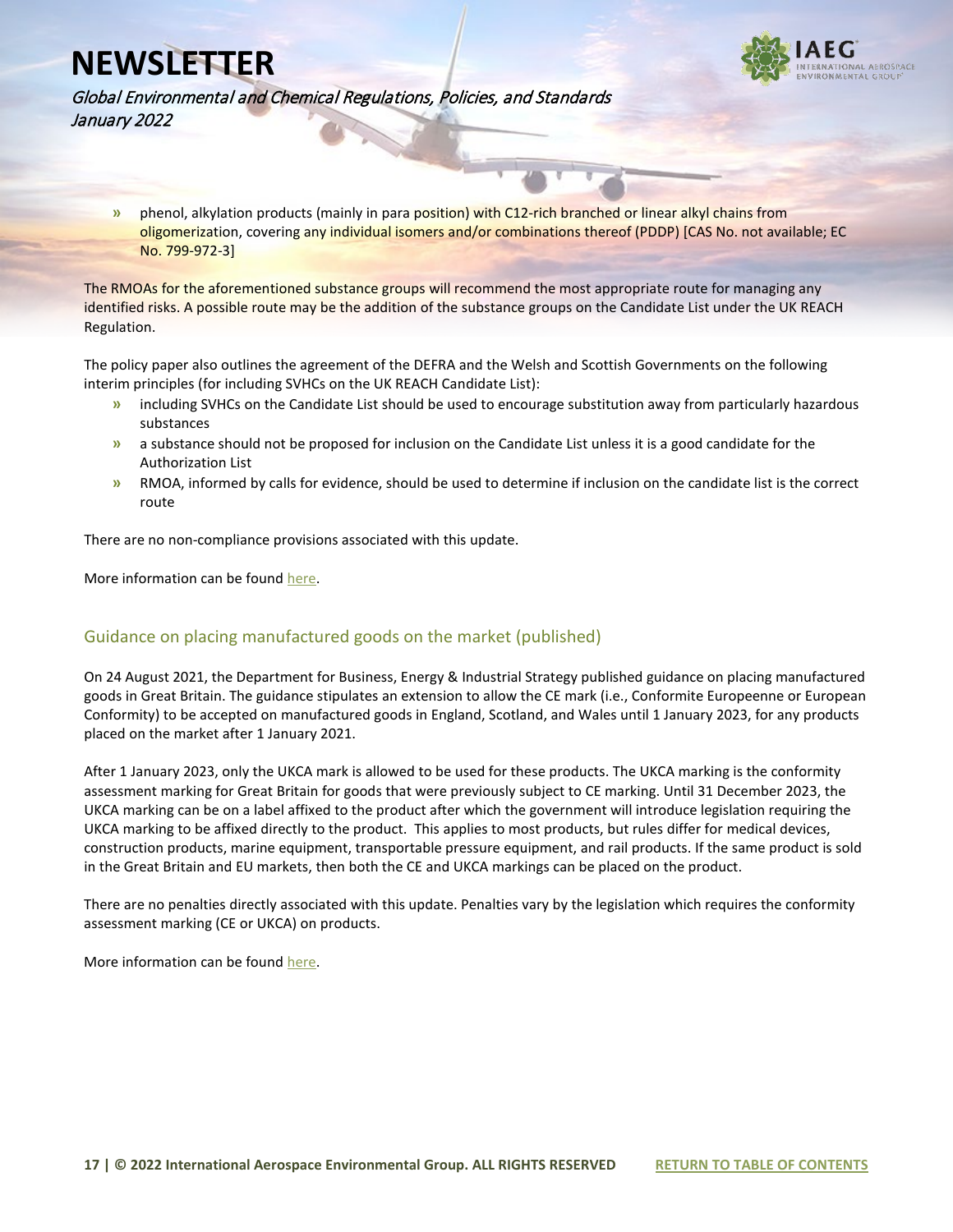

Global Environmental and Chemical Regulations, Policies, and Standards January 2022

**»** phenol, alkylation products (mainly in para position) with C12-rich branched or linear alkyl chains from oligomerization, covering any individual isomers and/or combinations thereof (PDDP) [CAS No. not available; EC No. 799-972-3]

The RMOAs for the aforementioned substance groups will recommend the most appropriate route for managing any identified risks. A possible route may be the addition of the substance groups on the Candidate List under the UK REACH Regulation.

The policy paper also outlines the agreement of the DEFRA and the Welsh and Scottish Governments on the following interim principles (for including SVHCs on the UK REACH Candidate List):

- **»** including SVHCs on the Candidate List should be used to encourage substitution away from particularly hazardous substances
- **»** a substance should not be proposed for inclusion on the Candidate List unless it is a good candidate for the Authorization List
- **»** RMOA, informed by calls for evidence, should be used to determine if inclusion on the candidate list is the correct route

There are no non-compliance provisions associated with this update.

More information can be found [here.](https://www.gov.uk/government/publications/uk-reach-approach-to-including-substances-of-very-high-concern-on-the-candidate-list)

#### Guidance on placing manufactured goods on the market (published)

On 24 August 2021, the Department for Business, Energy & Industrial Strategy published guidance on placing manufactured goods in Great Britain. The guidance stipulates an extension to allow the CE mark (i.e., Conformite Europeenne or European Conformity) to be accepted on manufactured goods in England, Scotland, and Wales until 1 January 2023, for any products placed on the market after 1 January 2021.

After 1 January 2023, only the UKCA mark is allowed to be used for these products. The UKCA marking is the conformity assessment marking for Great Britain for goods that were previously subject to CE marking. Until 31 December 2023, the UKCA marking can be on a label affixed to the product after which the government will introduce legislation requiring the UKCA marking to be affixed directly to the product. This applies to most products, but rules differ for medical devices, construction products, marine equipment, transportable pressure equipment, and rail products. If the same product is sold in the Great Britain and EU markets, then both the CE and UKCA markings can be placed on the product.

There are no penalties directly associated with this update. Penalties vary by the legislation which requires the conformity assessment marking (CE or UKCA) on products.

More information can be found [here.](https://www.gov.uk/guidance/placing-manufactured-goods-on-the-market-in-great-britain)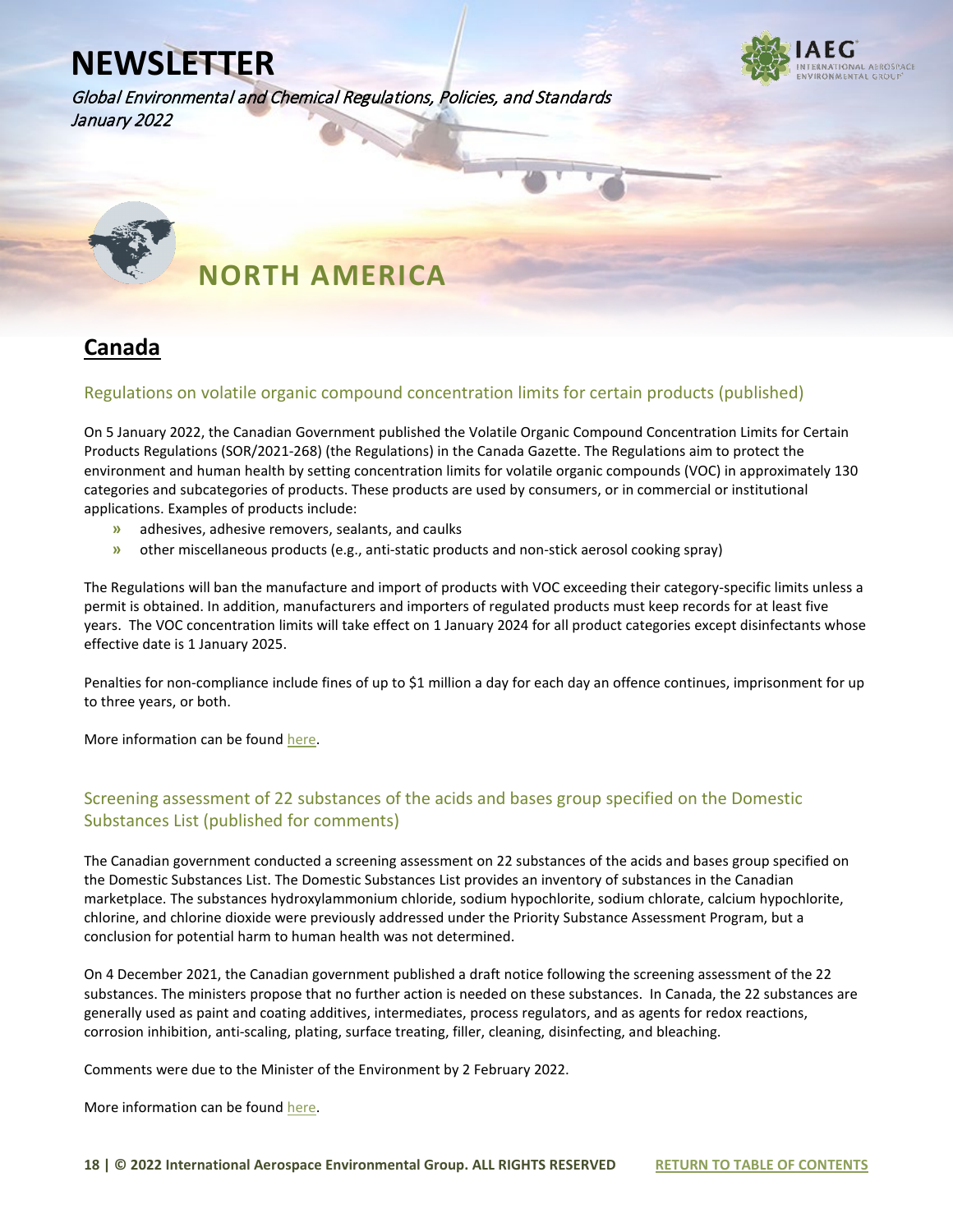Global Environmental and Chemical Regulations, Policies, and Standards January 2022





## **NORTH AMERICA**

#### **Canada**

#### Regulations on volatile organic compound concentration limits for certain products (published)

On 5 January 2022, the Canadian Government published the Volatile Organic Compound Concentration Limits for Certain Products Regulations (SOR/2021-268) (the Regulations) in the Canada Gazette. The Regulations aim to protect the environment and human health by setting concentration limits for volatile organic compounds (VOC) in approximately 130 categories and subcategories of products. These products are used by consumers, or in commercial or institutional applications. Examples of products include:

- **»** adhesives, adhesive removers, sealants, and caulks
- **»** other miscellaneous products (e.g., anti-static products and non-stick aerosol cooking spray)

The Regulations will ban the manufacture and import of products with VOC exceeding their category-specific limits unless a permit is obtained. In addition, manufacturers and importers of regulated products must keep records for at least five years. The VOC concentration limits will take effect on 1 January 2024 for all product categories except disinfectants whose effective date is 1 January 2025.

Penalties for non-compliance include fines of up to \$1 million a day for each day an offence continues, imprisonment for up to three years, or both.

More information can be found [here.](https://canadagazette.gc.ca/rp-pr/p2/2022/2022-01-05/html/sor-dors268-eng.html)

#### Screening assessment of 22 substances of the acids and bases group specified on the Domestic Substances List (published for comments)

The Canadian government conducted a screening assessment on 22 substances of the acids and bases group specified on the Domestic Substances List. The Domestic Substances List provides an inventory of substances in the Canadian marketplace. The substances hydroxylammonium chloride, sodium hypochlorite, sodium chlorate, calcium hypochlorite, chlorine, and chlorine dioxide were previously addressed under the Priority Substance Assessment Program, but a conclusion for potential harm to human health was not determined.

On 4 December 2021, the Canadian government published a draft notice following the screening assessment of the 22 substances. The ministers propose that no further action is needed on these substances. In Canada, the 22 substances are generally used as paint and coating additives, intermediates, process regulators, and as agents for redox reactions, corrosion inhibition, anti-scaling, plating, surface treating, filler, cleaning, disinfecting, and bleaching.

Comments were due to the Minister of the Environment by 2 February 2022.

More information can be found [here.](https://gazette.gc.ca/rp-pr/p1/2021/2021-12-04/html/notice-avis-eng.html#na1)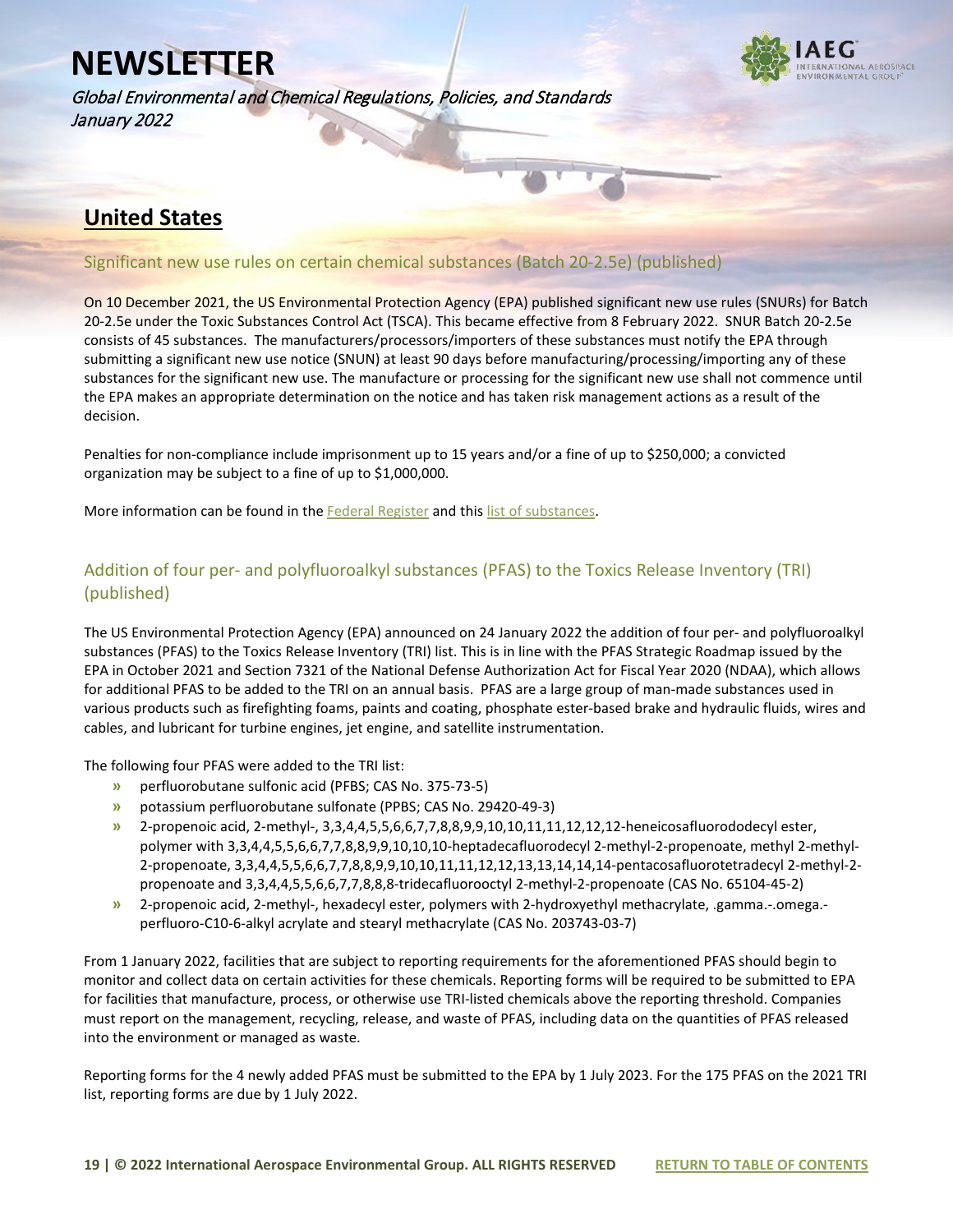Global Environmental and Chemical Regulations, Policies, and Standards January 2022



#### **United States**

#### Significant new use rules on certain chemical substances (Batch 20-2.5e) (published)

On 10 December 2021, the US Environmental Protection Agency (EPA) published significant new use rules (SNURs) for Batch 20-2.5e under the Toxic Substances Control Act (TSCA). This became effective from 8 February 2022. SNUR Batch 20-2.5e consists of 45 substances. The manufacturers/processors/importers of these substances must notify the EPA through submitting a significant new use notice (SNUN) at least 90 days before manufacturing/processing/importing any of these substances for the significant new use. The manufacture or processing for the significant new use shall not commence until the EPA makes an appropriate determination on the notice and has taken risk management actions as a result of the decision.

Penalties for non-compliance include imprisonment up to 15 years and/or a fine of up to \$250,000; a convicted organization may be subject to a fine of up to \$1,000,000.

More information can be found in the [Federal Register](https://www.federalregister.gov/documents/2021/12/10/2021-26683/significant-new-use-rules-on-certain-chemical-substances-20-25e) and this [list of substances.](https://www.iaeg.com/elements/pdf/newsletters-2022/USA_SNURs_Batch_20-2.5e_Substance_List.pdf) 

#### Addition of four per- and polyfluoroalkyl substances (PFAS) to the Toxics Release Inventory (TRI) (published)

The US Environmental Protection Agency (EPA) announced on 24 January 2022 the addition of four per- and polyfluoroalkyl substances (PFAS) to the Toxics Release Inventory (TRI) list. This is in line with the PFAS Strategic Roadmap issued by the EPA in October 2021 and Section 7321 of the National Defense Authorization Act for Fiscal Year 2020 (NDAA), which allows for additional PFAS to be added to the TRI on an annual basis. PFAS are a large group of man-made substances used in various products such as firefighting foams, paints and coating, phosphate ester-based brake and hydraulic fluids, wires and cables, and lubricant for turbine engines, jet engine, and satellite instrumentation.

The following four PFAS were added to the TRI list:

- **»** perfluorobutane sulfonic acid (PFBS; CAS No. 375-73-5)
- **»** potassium perfluorobutane sulfonate (PPBS; CAS No. 29420-49-3)
- **»** 2-propenoic acid, 2-methyl-, 3,3,4,4,5,5,6,6,7,7,8,8,9,9,10,10,11,11,12,12,12-heneicosafluorododecyl ester, polymer with 3,3,4,4,5,5,6,6,7,7,8,8,9,9,10,10,10-heptadecafluorodecyl 2-methyl-2-propenoate, methyl 2-methyl-2-propenoate, 3,3,4,4,5,5,6,6,7,7,8,8,9,9,10,10,11,11,12,12,13,13,14,14,14-pentacosafluorotetradecyl 2-methyl-2 propenoate and 3,3,4,4,5,5,6,6,7,7,8,8,8-tridecafluorooctyl 2-methyl-2-propenoate (CAS No. 65104-45-2)
- **»** 2-propenoic acid, 2-methyl-, hexadecyl ester, polymers with 2-hydroxyethyl methacrylate, .gamma.-.omega. perfluoro-C10-6-alkyl acrylate and stearyl methacrylate (CAS No. 203743-03-7)

From 1 January 2022, facilities that are subject to reporting requirements for the aforementioned PFAS should begin to monitor and collect data on certain activities for these chemicals. Reporting forms will be required to be submitted to EPA for facilities that manufacture, process, or otherwise use TRI-listed chemicals above the reporting threshold. Companies must report on the management, recycling, release, and waste of PFAS, including data on the quantities of PFAS released into the environment or managed as waste.

Reporting forms for the 4 newly added PFAS must be submitted to the EPA by 1 July 2023. For the 175 PFAS on the 2021 TRI list, reporting forms are due by 1 July 2022.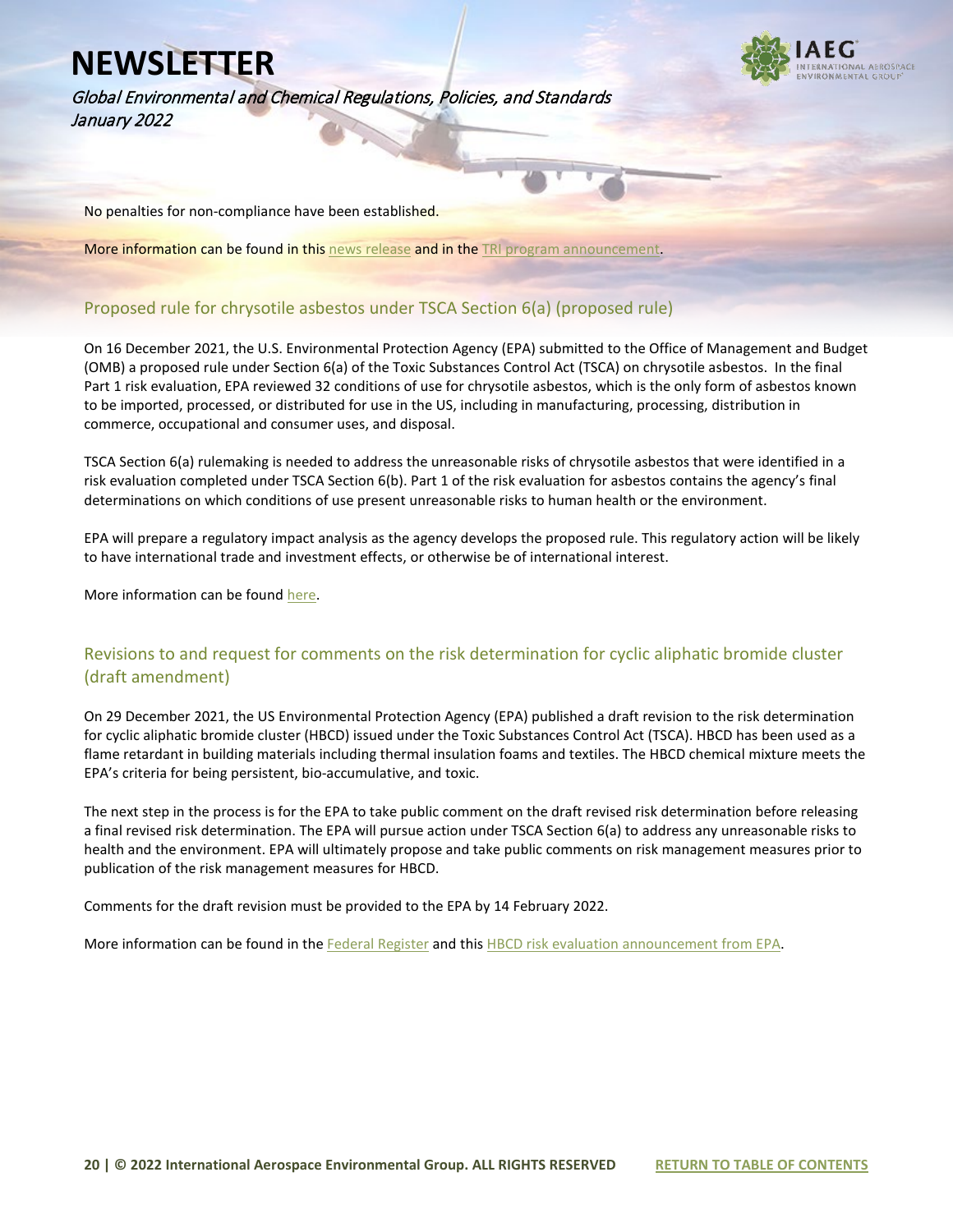Global Environmental and Chemical Regulations, Policies, and Standards January 2022



No penalties for non-compliance have been established.

More information can be found in thi[s news release](https://www.epa.gov/newsreleases/epa-requires-reporting-releases-and-other-waste-management-certain-pfas-including-pfbs) and in the [TRI program announcement.](https://www.epa.gov/toxics-release-inventory-tri-program/addition-certain-pfas-tri-national-defense-authorization-act)

#### Proposed rule for chrysotile asbestos under TSCA Section 6(a) (proposed rule)

On 16 December 2021, the U.S. Environmental Protection Agency (EPA) submitted to the Office of Management and Budget (OMB) a proposed rule under Section 6(a) of the Toxic Substances Control Act (TSCA) on chrysotile asbestos. In the final Part 1 risk evaluation, EPA reviewed 32 conditions of use for chrysotile asbestos, which is the only form of asbestos known to be imported, processed, or distributed for use in the US, including in manufacturing, processing, distribution in commerce, occupational and consumer uses, and disposal.

TSCA Section 6(a) rulemaking is needed to address the unreasonable risks of chrysotile asbestos that were identified in a risk evaluation completed under TSCA Section 6(b). Part 1 of the risk evaluation for asbestos contains the agency's final determinations on which conditions of use present unreasonable risks to human health or the environment.

EPA will prepare a regulatory impact analysis as the agency develops the proposed rule. This regulatory action will be likely to have international trade and investment effects, or otherwise be of international interest.

More information can be found [here.](https://www.reginfo.gov/public/do/eAgendaViewRule?pubId=202110&RIN=2070-AK86)

#### Revisions to and request for comments on the risk determination for cyclic aliphatic bromide cluster (draft amendment)

On 29 December 2021, the US Environmental Protection Agency (EPA) published a draft revision to the risk determination for cyclic aliphatic bromide cluster (HBCD) issued under the Toxic Substances Control Act (TSCA). HBCD has been used as a flame retardant in building materials including thermal insulation foams and textiles. The HBCD chemical mixture meets the EPA's criteria for being persistent, bio-accumulative, and toxic.

The next step in the process is for the EPA to take public comment on the draft revised risk determination before releasing a final revised risk determination. The EPA will pursue action under TSCA Section 6(a) to address any unreasonable risks to health and the environment. EPA will ultimately propose and take public comments on risk management measures prior to publication of the risk management measures for HBCD.

Comments for the draft revision must be provided to the EPA by 14 February 2022.

More information can be found in th[e Federal Register](https://www.federalregister.gov/documents/2021/12/29/2021-28231/cyclic-aliphatic-bromide-cluster-hbcd-draft-revision-to-toxic-substances-control-act-tsca-risk) and this [HBCD risk evaluation announcement from EPA.](https://www.epa.gov/assessing-and-managing-chemicals-under-tsca/final-risk-evaluation-cyclic-aliphatic-bromide-cluster)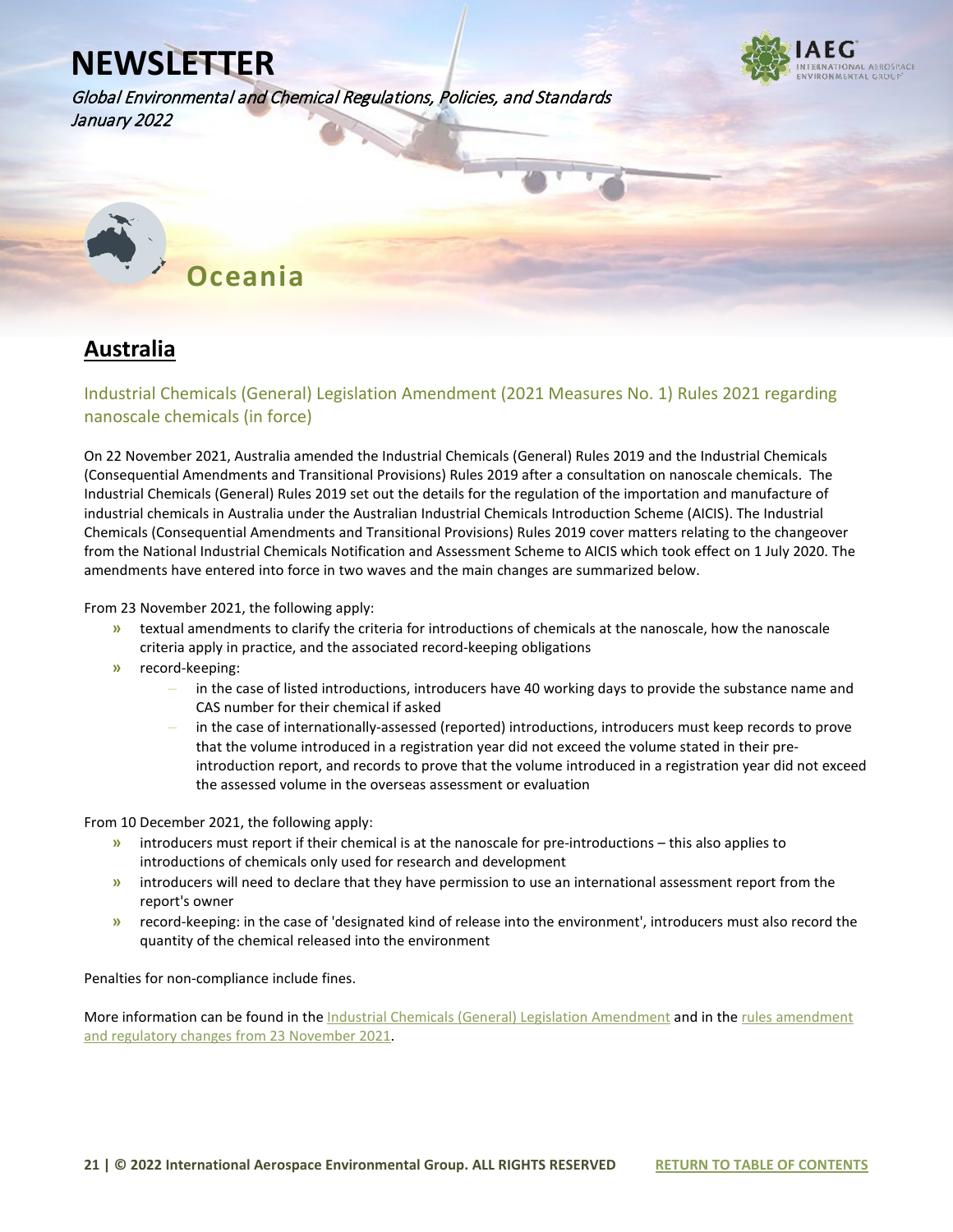

Global Environmental and Chemical Regulations, Policies, and Standards January 2022



#### **Australia**

#### Industrial Chemicals (General) Legislation Amendment (2021 Measures No. 1) Rules 2021 regarding nanoscale chemicals (in force)

On 22 November 2021, Australia amended the Industrial Chemicals (General) Rules 2019 and the Industrial Chemicals (Consequential Amendments and Transitional Provisions) Rules 2019 after a consultation on nanoscale chemicals. The Industrial Chemicals (General) Rules 2019 set out the details for the regulation of the importation and manufacture of industrial chemicals in Australia under the Australian Industrial Chemicals Introduction Scheme (AICIS). The Industrial Chemicals (Consequential Amendments and Transitional Provisions) Rules 2019 cover matters relating to the changeover from the National Industrial Chemicals Notification and Assessment Scheme to AICIS which took effect on 1 July 2020. The amendments have entered into force in two waves and the main changes are summarized below.

From 23 November 2021, the following apply:

- **»** textual amendments to clarify the criteria for introductions of chemicals at the nanoscale, how the nanoscale criteria apply in practice, and the associated record-keeping obligations
- **»** record-keeping:
	- **–** in the case of listed introductions, introducers have 40 working days to provide the substance name and CAS number for their chemical if asked
	- **–** in the case of internationally-assessed (reported) introductions, introducers must keep records to prove that the volume introduced in a registration year did not exceed the volume stated in their preintroduction report, and records to prove that the volume introduced in a registration year did not exceed the assessed volume in the overseas assessment or evaluation

From 10 December 2021, the following apply:

- **»** introducers must report if their chemical is at the nanoscale for pre-introductions this also applies to introductions of chemicals only used for research and development
- **»** introducers will need to declare that they have permission to use an international assessment report from the report's owner
- **»** record-keeping: in the case of 'designated kind of release into the environment', introducers must also record the quantity of the chemical released into the environment

Penalties for non-compliance include fines.

More information can be found in the [Industrial Chemicals \(General\) Legislation Amendment](https://www.legislation.gov.au/Details/F2021L01584) and in the rules amendment and regulatory changes [from 23 November 2021.](https://www.industrialchemicals.gov.au/news-and-notices/rules-amendments-and-regulatory-changes-23-november-2021?utm_medium=email&utm_campaign=November%202021%20-%20Industrial%20Chemicals%20Regulatory%20News&utm_content=November%202021%20-%20Industrial%20)